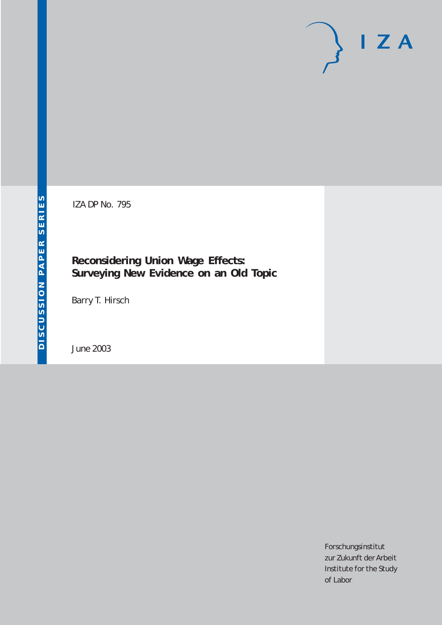# $I Z A$

IZA DP No. 795

## **Reconsidering Union Wage Effects: Surveying New Evidence on an Old Topic**

Barry T. Hirsch

June 2003

Forschungsinstitut zur Zukunft der Arbeit Institute for the Study of Labor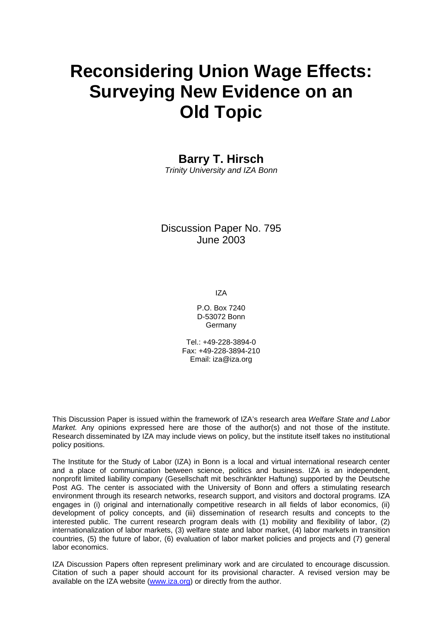# **Reconsidering Union Wage Effects: Surveying New Evidence on an Old Topic**

## **Barry T. Hirsch**

*Trinity University and IZA Bonn* 

### Discussion Paper No. 795 June 2003

IZA

P.O. Box 7240 D-53072 Bonn Germany

Tel.: +49-228-3894-0 Fax: +49-228-3894-210 Email: [iza@iza.org](mailto:iza@iza.org)

This Discussion Paper is issued within the framework of IZA's research area *Welfare State and Labor Market.* Any opinions expressed here are those of the author(s) and not those of the institute. Research disseminated by IZA may include views on policy, but the institute itself takes no institutional policy positions.

The Institute for the Study of Labor (IZA) in Bonn is a local and virtual international research center and a place of communication between science, politics and business. IZA is an independent, nonprofit limited liability company (Gesellschaft mit beschränkter Haftung) supported by the Deutsche Post AG. The center is associated with the University of Bonn and offers a stimulating research environment through its research networks, research support, and visitors and doctoral programs. IZA engages in (i) original and internationally competitive research in all fields of labor economics, (ii) development of policy concepts, and (iii) dissemination of research results and concepts to the interested public. The current research program deals with (1) mobility and flexibility of labor, (2) internationalization of labor markets, (3) welfare state and labor market, (4) labor markets in transition countries, (5) the future of labor, (6) evaluation of labor market policies and projects and (7) general labor economics.

IZA Discussion Papers often represent preliminary work and are circulated to encourage discussion. Citation of such a paper should account for its provisional character. A revised version may be available on the IZA website ([www.iza.org](http://www.iza.org/)) or directly from the author.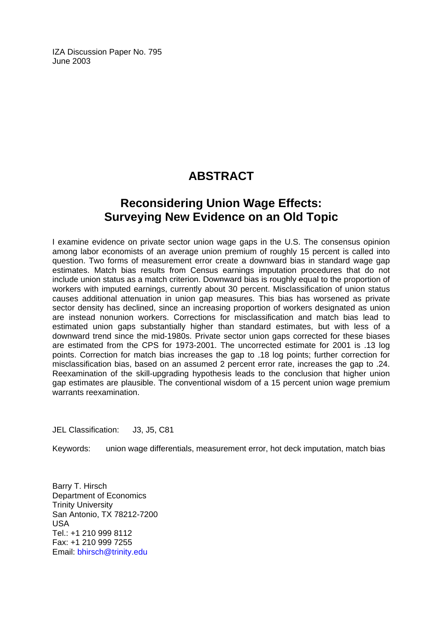IZA Discussion Paper No. 795 June 2003

## **ABSTRACT**

## **Reconsidering Union Wage Effects: Surveying New Evidence on an Old Topic**

I examine evidence on private sector union wage gaps in the U.S. The consensus opinion among labor economists of an average union premium of roughly 15 percent is called into question. Two forms of measurement error create a downward bias in standard wage gap estimates. Match bias results from Census earnings imputation procedures that do not include union status as a match criterion. Downward bias is roughly equal to the proportion of workers with imputed earnings, currently about 30 percent. Misclassification of union status causes additional attenuation in union gap measures. This bias has worsened as private sector density has declined, since an increasing proportion of workers designated as union are instead nonunion workers. Corrections for misclassification and match bias lead to estimated union gaps substantially higher than standard estimates, but with less of a downward trend since the mid-1980s. Private sector union gaps corrected for these biases are estimated from the CPS for 1973-2001. The uncorrected estimate for 2001 is .13 log points. Correction for match bias increases the gap to .18 log points; further correction for misclassification bias, based on an assumed 2 percent error rate, increases the gap to .24. Reexamination of the skill-upgrading hypothesis leads to the conclusion that higher union gap estimates are plausible. The conventional wisdom of a 15 percent union wage premium warrants reexamination.

JEL Classification: J3, J5, C81

Keywords: union wage differentials, measurement error, hot deck imputation, match bias

Barry T. Hirsch Department of Economics Trinity University San Antonio, TX 78212-7200 USA Tel.: +1 210 999 8112 Fax: +1 210 999 7255 Email: [bhirsch@trinity.edu](mailto:bhirsch@trinity.edu)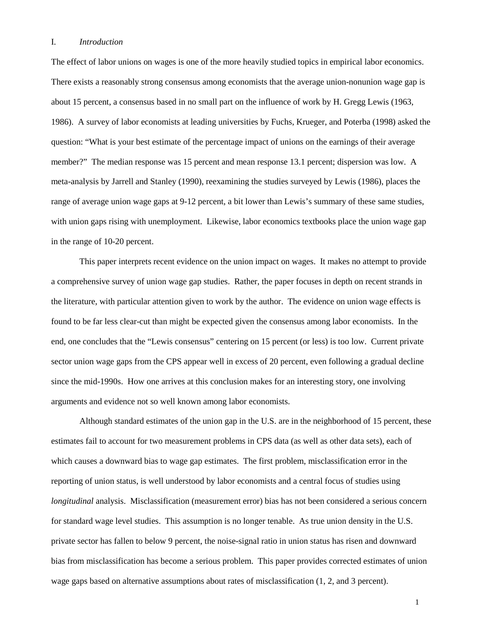#### I. *Introduction*

The effect of labor unions on wages is one of the more heavily studied topics in empirical labor economics. There exists a reasonably strong consensus among economists that the average union-nonunion wage gap is about 15 percent, a consensus based in no small part on the influence of work by H. Gregg Lewis (1963, 1986). A survey of labor economists at leading universities by Fuchs, Krueger, and Poterba (1998) asked the question: "What is your best estimate of the percentage impact of unions on the earnings of their average member?" The median response was 15 percent and mean response 13.1 percent; dispersion was low. A meta-analysis by Jarrell and Stanley (1990), reexamining the studies surveyed by Lewis (1986), places the range of average union wage gaps at 9-12 percent, a bit lower than Lewis's summary of these same studies, with union gaps rising with unemployment. Likewise, labor economics textbooks place the union wage gap in the range of 10-20 percent.

This paper interprets recent evidence on the union impact on wages. It makes no attempt to provide a comprehensive survey of union wage gap studies. Rather, the paper focuses in depth on recent strands in the literature, with particular attention given to work by the author. The evidence on union wage effects is found to be far less clear-cut than might be expected given the consensus among labor economists. In the end, one concludes that the "Lewis consensus" centering on 15 percent (or less) is too low. Current private sector union wage gaps from the CPS appear well in excess of 20 percent, even following a gradual decline since the mid-1990s. How one arrives at this conclusion makes for an interesting story, one involving arguments and evidence not so well known among labor economists.

Although standard estimates of the union gap in the U.S. are in the neighborhood of 15 percent, these estimates fail to account for two measurement problems in CPS data (as well as other data sets), each of which causes a downward bias to wage gap estimates. The first problem, misclassification error in the reporting of union status, is well understood by labor economists and a central focus of studies using *longitudinal* analysis. Misclassification (measurement error) bias has not been considered a serious concern for standard wage level studies. This assumption is no longer tenable. As true union density in the U.S. private sector has fallen to below 9 percent, the noise-signal ratio in union status has risen and downward bias from misclassification has become a serious problem. This paper provides corrected estimates of union wage gaps based on alternative assumptions about rates of misclassification (1, 2, and 3 percent).

1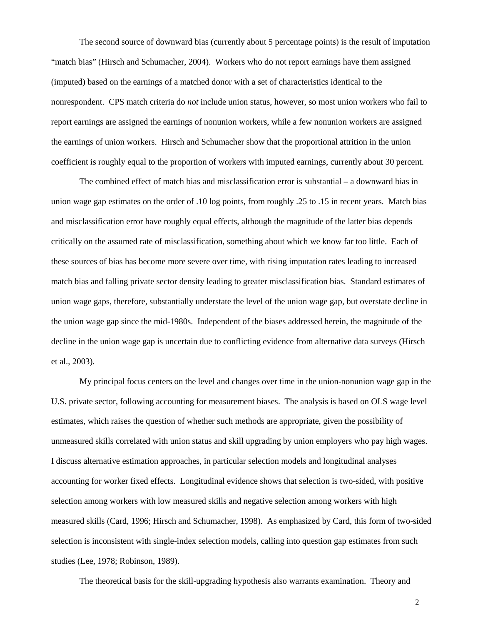The second source of downward bias (currently about 5 percentage points) is the result of imputation "match bias" (Hirsch and Schumacher, 2004). Workers who do not report earnings have them assigned (imputed) based on the earnings of a matched donor with a set of characteristics identical to the nonrespondent. CPS match criteria do *not* include union status, however, so most union workers who fail to report earnings are assigned the earnings of nonunion workers, while a few nonunion workers are assigned the earnings of union workers. Hirsch and Schumacher show that the proportional attrition in the union coefficient is roughly equal to the proportion of workers with imputed earnings, currently about 30 percent.

The combined effect of match bias and misclassification error is substantial – a downward bias in union wage gap estimates on the order of .10 log points, from roughly .25 to .15 in recent years. Match bias and misclassification error have roughly equal effects, although the magnitude of the latter bias depends critically on the assumed rate of misclassification, something about which we know far too little. Each of these sources of bias has become more severe over time, with rising imputation rates leading to increased match bias and falling private sector density leading to greater misclassification bias. Standard estimates of union wage gaps, therefore, substantially understate the level of the union wage gap, but overstate decline in the union wage gap since the mid-1980s. Independent of the biases addressed herein, the magnitude of the decline in the union wage gap is uncertain due to conflicting evidence from alternative data surveys (Hirsch et al., 2003).

My principal focus centers on the level and changes over time in the union-nonunion wage gap in the U.S. private sector, following accounting for measurement biases. The analysis is based on OLS wage level estimates, which raises the question of whether such methods are appropriate, given the possibility of unmeasured skills correlated with union status and skill upgrading by union employers who pay high wages. I discuss alternative estimation approaches, in particular selection models and longitudinal analyses accounting for worker fixed effects. Longitudinal evidence shows that selection is two-sided, with positive selection among workers with low measured skills and negative selection among workers with high measured skills (Card, 1996; Hirsch and Schumacher, 1998). As emphasized by Card, this form of two-sided selection is inconsistent with single-index selection models, calling into question gap estimates from such studies (Lee, 1978; Robinson, 1989).

The theoretical basis for the skill-upgrading hypothesis also warrants examination. Theory and

2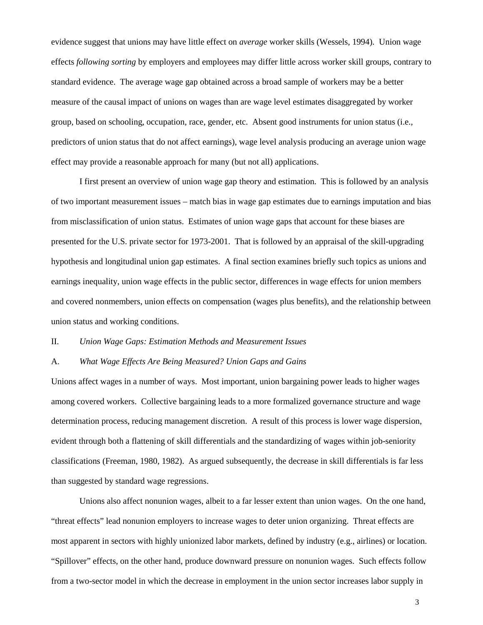evidence suggest that unions may have little effect on *average* worker skills (Wessels, 1994). Union wage effects *following sorting* by employers and employees may differ little across worker skill groups, contrary to standard evidence. The average wage gap obtained across a broad sample of workers may be a better measure of the causal impact of unions on wages than are wage level estimates disaggregated by worker group, based on schooling, occupation, race, gender, etc. Absent good instruments for union status (i.e., predictors of union status that do not affect earnings), wage level analysis producing an average union wage effect may provide a reasonable approach for many (but not all) applications.

I first present an overview of union wage gap theory and estimation. This is followed by an analysis of two important measurement issues – match bias in wage gap estimates due to earnings imputation and bias from misclassification of union status. Estimates of union wage gaps that account for these biases are presented for the U.S. private sector for 1973-2001. That is followed by an appraisal of the skill-upgrading hypothesis and longitudinal union gap estimates. A final section examines briefly such topics as unions and earnings inequality, union wage effects in the public sector, differences in wage effects for union members and covered nonmembers, union effects on compensation (wages plus benefits), and the relationship between union status and working conditions.

#### II. *Union Wage Gaps: Estimation Methods and Measurement Issues*

#### A. *What Wage Effects Are Being Measured? Union Gaps and Gains*

Unions affect wages in a number of ways. Most important, union bargaining power leads to higher wages among covered workers. Collective bargaining leads to a more formalized governance structure and wage determination process, reducing management discretion. A result of this process is lower wage dispersion, evident through both a flattening of skill differentials and the standardizing of wages within job-seniority classifications (Freeman, 1980, 1982). As argued subsequently, the decrease in skill differentials is far less than suggested by standard wage regressions.

Unions also affect nonunion wages, albeit to a far lesser extent than union wages. On the one hand, "threat effects" lead nonunion employers to increase wages to deter union organizing. Threat effects are most apparent in sectors with highly unionized labor markets, defined by industry (e.g., airlines) or location. "Spillover" effects, on the other hand, produce downward pressure on nonunion wages. Such effects follow from a two-sector model in which the decrease in employment in the union sector increases labor supply in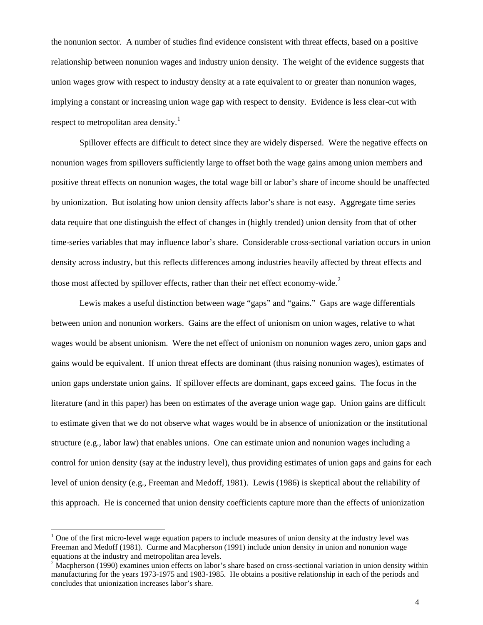the nonunion sector. A number of studies find evidence consistent with threat effects, based on a positive relationship between nonunion wages and industry union density. The weight of the evidence suggests that union wages grow with respect to industry density at a rate equivalent to or greater than nonunion wages, implying a constant or increasing union wage gap with respect to density. Evidence is less clear-cut with respect to metropolitan area density.<sup>1</sup>

Spillover effects are difficult to detect since they are widely dispersed. Were the negative effects on nonunion wages from spillovers sufficiently large to offset both the wage gains among union members and positive threat effects on nonunion wages, the total wage bill or labor's share of income should be unaffected by unionization. But isolating how union density affects labor's share is not easy. Aggregate time series data require that one distinguish the effect of changes in (highly trended) union density from that of other time-series variables that may influence labor's share. Considerable cross-sectional variation occurs in union density across industry, but this reflects differences among industries heavily affected by threat effects and those most affected by spillover effects, rather than their net effect economy-wide. $2$ 

Lewis makes a useful distinction between wage "gaps" and "gains." Gaps are wage differentials between union and nonunion workers. Gains are the effect of unionism on union wages, relative to what wages would be absent unionism. Were the net effect of unionism on nonunion wages zero, union gaps and gains would be equivalent. If union threat effects are dominant (thus raising nonunion wages), estimates of union gaps understate union gains. If spillover effects are dominant, gaps exceed gains. The focus in the literature (and in this paper) has been on estimates of the average union wage gap. Union gains are difficult to estimate given that we do not observe what wages would be in absence of unionization or the institutional structure (e.g., labor law) that enables unions. One can estimate union and nonunion wages including a control for union density (say at the industry level), thus providing estimates of union gaps and gains for each level of union density (e.g., Freeman and Medoff, 1981). Lewis (1986) is skeptical about the reliability of this approach. He is concerned that union density coefficients capture more than the effects of unionization

-

 $1$  One of the first micro-level wage equation papers to include measures of union density at the industry level was Freeman and Medoff (1981). Curme and Macpherson (1991) include union density in union and nonunion wage equations at the industry and metropolitan area levels.

 $2 \text{ Macherson}$  (1990) examines union effects on labor's share based on cross-sectional variation in union density within manufacturing for the years 1973-1975 and 1983-1985. He obtains a positive relationship in each of the periods and concludes that unionization increases labor's share.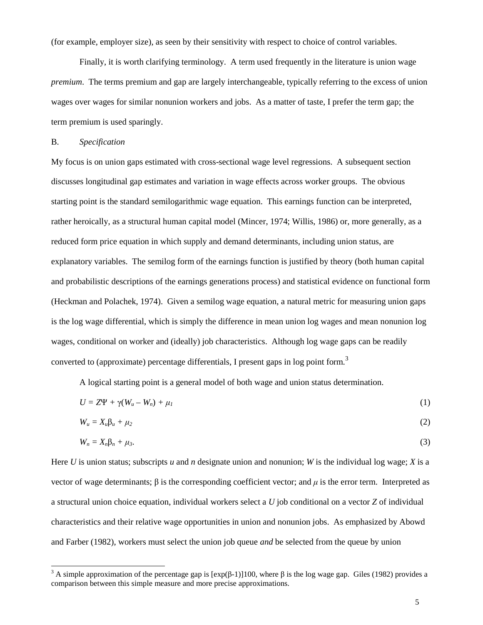(for example, employer size), as seen by their sensitivity with respect to choice of control variables.

Finally, it is worth clarifying terminology. A term used frequently in the literature is union wage *premium*. The terms premium and gap are largely interchangeable, typically referring to the excess of union wages over wages for similar nonunion workers and jobs. As a matter of taste, I prefer the term gap; the term premium is used sparingly.

B. *Specification*

-

My focus is on union gaps estimated with cross-sectional wage level regressions. A subsequent section discusses longitudinal gap estimates and variation in wage effects across worker groups. The obvious starting point is the standard semilogarithmic wage equation. This earnings function can be interpreted, rather heroically, as a structural human capital model (Mincer, 1974; Willis, 1986) or, more generally, as a reduced form price equation in which supply and demand determinants, including union status, are explanatory variables. The semilog form of the earnings function is justified by theory (both human capital and probabilistic descriptions of the earnings generations process) and statistical evidence on functional form (Heckman and Polachek, 1974). Given a semilog wage equation, a natural metric for measuring union gaps is the log wage differential, which is simply the difference in mean union log wages and mean nonunion log wages, conditional on worker and (ideally) job characteristics. Although log wage gaps can be readily converted to (approximate) percentage differentials, I present gaps in log point form.<sup>3</sup>

A logical starting point is a general model of both wage and union status determination.

$$
U = Z\Psi + \gamma (W_u - W_n) + \mu_I \tag{1}
$$

$$
W_u = X_u \beta_u + \mu_2 \tag{2}
$$

$$
W_n = X_n \beta_n + \mu_3. \tag{3}
$$

Here *U* is union status; subscripts *u* and *n* designate union and nonunion; *W* is the individual log wage; *X* is a vector of wage determinants; β is the corresponding coefficient vector; and  $\mu$  is the error term. Interpreted as a structural union choice equation, individual workers select a *U* job conditional on a vector *Z* of individual characteristics and their relative wage opportunities in union and nonunion jobs. As emphasized by Abowd and Farber (1982), workers must select the union job queue *and* be selected from the queue by union

<sup>&</sup>lt;sup>3</sup> A simple approximation of the percentage gap is [ $exp(\beta-1)$ ]100, where  $\beta$  is the log wage gap. Giles (1982) provides a comparison between this simple measure and more precise approximations.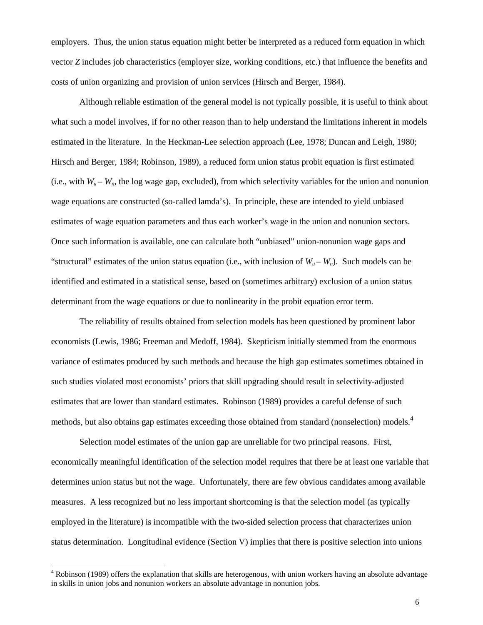employers. Thus, the union status equation might better be interpreted as a reduced form equation in which vector *Z* includes job characteristics (employer size, working conditions, etc.) that influence the benefits and costs of union organizing and provision of union services (Hirsch and Berger, 1984).

Although reliable estimation of the general model is not typically possible, it is useful to think about what such a model involves, if for no other reason than to help understand the limitations inherent in models estimated in the literature. In the Heckman-Lee selection approach (Lee, 1978; Duncan and Leigh, 1980; Hirsch and Berger, 1984; Robinson, 1989), a reduced form union status probit equation is first estimated (i.e., with  $W_u - W_n$ , the log wage gap, excluded), from which selectivity variables for the union and nonunion wage equations are constructed (so-called lamda's). In principle, these are intended to yield unbiased estimates of wage equation parameters and thus each worker's wage in the union and nonunion sectors. Once such information is available, one can calculate both "unbiased" union-nonunion wage gaps and "structural" estimates of the union status equation (i.e., with inclusion of  $W_u - W_n$ ). Such models can be identified and estimated in a statistical sense, based on (sometimes arbitrary) exclusion of a union status determinant from the wage equations or due to nonlinearity in the probit equation error term.

The reliability of results obtained from selection models has been questioned by prominent labor economists (Lewis, 1986; Freeman and Medoff, 1984). Skepticism initially stemmed from the enormous variance of estimates produced by such methods and because the high gap estimates sometimes obtained in such studies violated most economists' priors that skill upgrading should result in selectivity-adjusted estimates that are lower than standard estimates. Robinson (1989) provides a careful defense of such methods, but also obtains gap estimates exceeding those obtained from standard (nonselection) models.<sup>4</sup>

Selection model estimates of the union gap are unreliable for two principal reasons. First, economically meaningful identification of the selection model requires that there be at least one variable that determines union status but not the wage. Unfortunately, there are few obvious candidates among available measures. A less recognized but no less important shortcoming is that the selection model (as typically employed in the literature) is incompatible with the two-sided selection process that characterizes union status determination. Longitudinal evidence (Section V) implies that there is positive selection into unions

-

<sup>&</sup>lt;sup>4</sup> Robinson (1989) offers the explanation that skills are heterogenous, with union workers having an absolute advantage in skills in union jobs and nonunion workers an absolute advantage in nonunion jobs.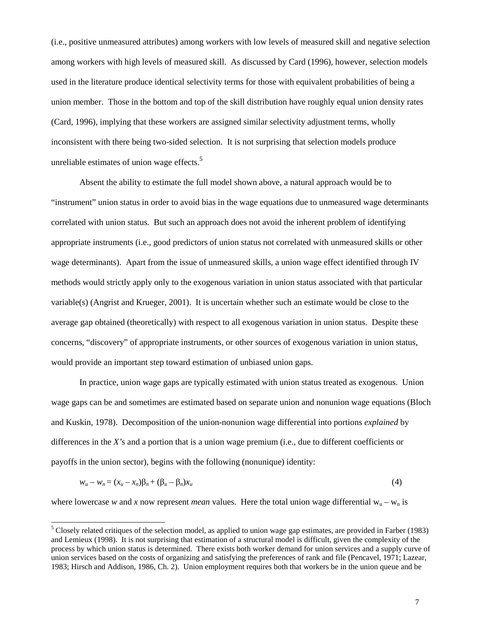(i.e., positive unmeasured attributes) among workers with low levels of measured skill and negative selection among workers with high levels of measured skill. As discussed by Card (1996), however, selection models used in the literature produce identical selectivity terms for those with equivalent probabilities of being a union member. Those in the bottom and top of the skill distribution have roughly equal union density rates (Card, 1996), implying that these workers are assigned similar selectivity adjustment terms, wholly inconsistent with there being two-sided selection. It is not surprising that selection models produce unreliable estimates of union wage effects. $5$ 

Absent the ability to estimate the full model shown above, a natural approach would be to "instrument" union status in order to avoid bias in the wage equations due to unmeasured wage determinants correlated with union status. But such an approach does not avoid the inherent problem of identifying appropriate instruments (i.e., good predictors of union status not correlated with unmeasured skills or other wage determinants). Apart from the issue of unmeasured skills, a union wage effect identified through IV methods would strictly apply only to the exogenous variation in union status associated with that particular variable(s) (Angrist and Krueger, 2001). It is uncertain whether such an estimate would be close to the average gap obtained (theoretically) with respect to all exogenous variation in union status. Despite these concerns, "discovery" of appropriate instruments, or other sources of exogenous variation in union status, would provide an important step toward estimation of unbiased union gaps.

In practice, union wage gaps are typically estimated with union status treated as exogenous. Union wage gaps can be and sometimes are estimated based on separate union and nonunion wage equations (Bloch and Kuskin, 1978). Decomposition of the union-nonunion wage differential into portions *explained* by differences in the *X'*s and a portion that is a union wage premium (i.e., due to different coefficients or payoffs in the union sector), begins with the following (nonunique) identity:

$$
w_u - w_n = (x_u - x_n)\beta_n + (\beta_u - \beta_n)x_u \tag{4}
$$

where lowercase *w* and *x* now represent *mean* values. Here the total union wage differential  $w_u - w_n$  is

<sup>&</sup>lt;sup>5</sup> Closely related critiques of the selection model, as applied to union wage gap estimates, are provided in Farber (1983) and Lemieux (1998). It is not surprising that estimation of a structural model is difficult, given the complexity of the process by which union status is determined. There exists both worker demand for union services and a supply curve of union services based on the costs of organizing and satisfying the preferences of rank and file (Pencavel, 1971; Lazear, 1983; Hirsch and Addison, 1986, Ch. 2). Union employment requires both that workers be in the union queue and be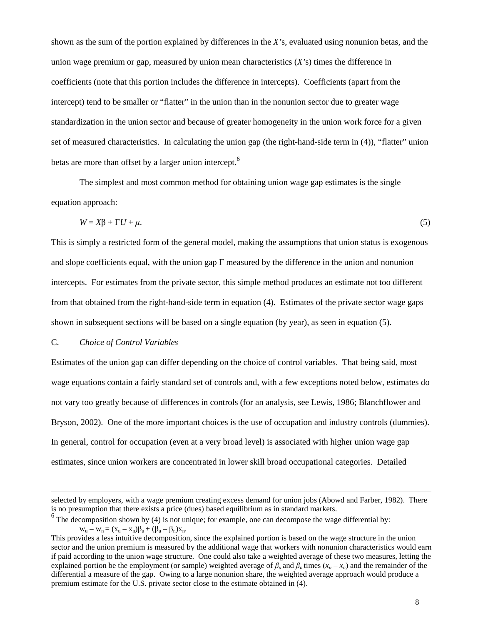shown as the sum of the portion explained by differences in the *X'*s, evaluated using nonunion betas, and the union wage premium or gap, measured by union mean characteristics (*X'*s) times the difference in coefficients (note that this portion includes the difference in intercepts). Coefficients (apart from the intercept) tend to be smaller or "flatter" in the union than in the nonunion sector due to greater wage standardization in the union sector and because of greater homogeneity in the union work force for a given set of measured characteristics. In calculating the union gap (the right-hand-side term in (4)), "flatter" union betas are more than offset by a larger union intercept.<sup>6</sup>

The simplest and most common method for obtaining union wage gap estimates is the single equation approach:

$$
W = X\beta + \Gamma U + \mu. \tag{5}
$$

This is simply a restricted form of the general model, making the assumptions that union status is exogenous and slope coefficients equal, with the union gap  $\Gamma$  measured by the difference in the union and nonunion intercepts. For estimates from the private sector, this simple method produces an estimate not too different from that obtained from the right-hand-side term in equation (4). Estimates of the private sector wage gaps shown in subsequent sections will be based on a single equation (by year), as seen in equation (5).

#### C. *Choice of Control Variables*

1

Estimates of the union gap can differ depending on the choice of control variables. That being said, most wage equations contain a fairly standard set of controls and, with a few exceptions noted below, estimates do not vary too greatly because of differences in controls (for an analysis, see Lewis, 1986; Blanchflower and Bryson, 2002). One of the more important choices is the use of occupation and industry controls (dummies). In general, control for occupation (even at a very broad level) is associated with higher union wage gap estimates, since union workers are concentrated in lower skill broad occupational categories. Detailed

selected by employers, with a wage premium creating excess demand for union jobs (Abowd and Farber, 1982). There is no presumption that there exists a price (dues) based equilibrium as in standard markets.

 $<sup>6</sup>$  The decomposition shown by (4) is not unique; for example, one can decompose the wage differential by:</sup>  $w_{u} - w_{n} = (x_{u} - x_{n})\beta_{u} + (\beta_{u} - \beta_{n})x_{n}.$ 

This provides a less intuitive decomposition, since the explained portion is based on the wage structure in the union sector and the union premium is measured by the additional wage that workers with nonunion characteristics would earn if paid according to the union wage structure. One could also take a weighted average of these two measures, letting the explained portion be the employment (or sample) weighted average of  $\beta_u$  and  $\beta_n$  times  $(x_u - x_n)$  and the remainder of the differential a measure of the gap. Owing to a large nonunion share, the weighted average approach would produce a premium estimate for the U.S. private sector close to the estimate obtained in (4).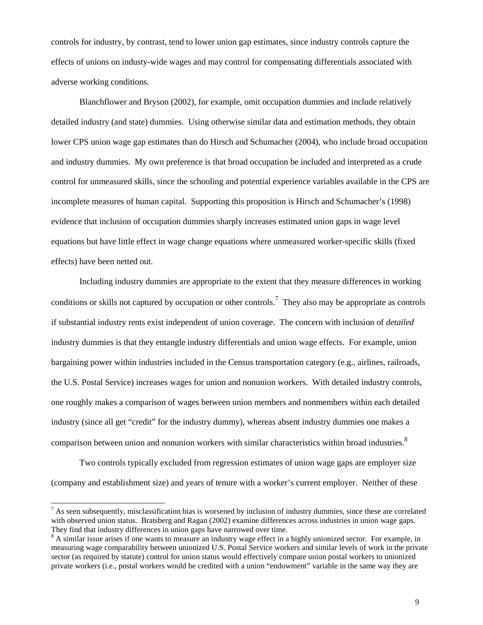controls for industry, by contrast, tend to lower union gap estimates, since industry controls capture the effects of unions on industy-wide wages and may control for compensating differentials associated with adverse working conditions.

Blanchflower and Bryson (2002), for example, omit occupation dummies and include relatively detailed industry (and state) dummies. Using otherwise similar data and estimation methods, they obtain lower CPS union wage gap estimates than do Hirsch and Schumacher (2004), who include broad occupation and industry dummies. My own preference is that broad occupation be included and interpreted as a crude control for unmeasured skills, since the schooling and potential experience variables available in the CPS are incomplete measures of human capital. Supporting this proposition is Hirsch and Schumacher's (1998) evidence that inclusion of occupation dummies sharply increases estimated union gaps in wage level equations but have little effect in wage change equations where unmeasured worker-specific skills (fixed effects) have been netted out.

Including industry dummies are appropriate to the extent that they measure differences in working conditions or skills not captured by occupation or other controls.<sup>7</sup> They also may be appropriate as controls if substantial industry rents exist independent of union coverage. The concern with inclusion of *detailed*  industry dummies is that they entangle industry differentials and union wage effects. For example, union bargaining power within industries included in the Census transportation category (e.g., airlines, railroads, the U.S. Postal Service) increases wages for union and nonunion workers. With detailed industry controls, one roughly makes a comparison of wages between union members and nonmembers within each detailed industry (since all get "credit" for the industry dummy), whereas absent industry dummies one makes a comparison between union and nonunion workers with similar characteristics within broad industries.<sup>8</sup>

Two controls typically excluded from regression estimates of union wage gaps are employer size (company and establishment size) and years of tenure with a worker's current employer. Neither of these

-

 $<sup>7</sup>$  As seen subsequently, misclassification bias is worsened by inclusion of industry dummies, since these are correlated</sup> with observed union status. Bratsberg and Ragan (2002) examine differences across industries in union wage gaps. They find that industry differences in union gaps have narrowed over time.

<sup>&</sup>lt;sup>8</sup> A similar issue arises if one wants to measure an industry wage effect in a highly unionized sector. For example, in measuring wage comparability between unionized U.S. Postal Service workers and similar levels of work in the private sector (as required by statute) control for union status would effectively compare union postal workers to unionized private workers (i.e., postal workers would be credited with a union "endowment" variable in the same way they are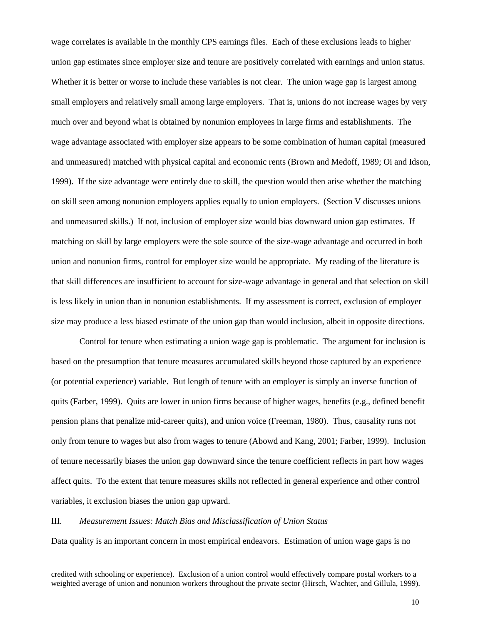wage correlates is available in the monthly CPS earnings files. Each of these exclusions leads to higher union gap estimates since employer size and tenure are positively correlated with earnings and union status. Whether it is better or worse to include these variables is not clear. The union wage gap is largest among small employers and relatively small among large employers. That is, unions do not increase wages by very much over and beyond what is obtained by nonunion employees in large firms and establishments. The wage advantage associated with employer size appears to be some combination of human capital (measured and unmeasured) matched with physical capital and economic rents (Brown and Medoff, 1989; Oi and Idson, 1999). If the size advantage were entirely due to skill, the question would then arise whether the matching on skill seen among nonunion employers applies equally to union employers. (Section V discusses unions and unmeasured skills.) If not, inclusion of employer size would bias downward union gap estimates. If matching on skill by large employers were the sole source of the size-wage advantage and occurred in both union and nonunion firms, control for employer size would be appropriate. My reading of the literature is that skill differences are insufficient to account for size-wage advantage in general and that selection on skill is less likely in union than in nonunion establishments. If my assessment is correct, exclusion of employer size may produce a less biased estimate of the union gap than would inclusion, albeit in opposite directions.

Control for tenure when estimating a union wage gap is problematic. The argument for inclusion is based on the presumption that tenure measures accumulated skills beyond those captured by an experience (or potential experience) variable. But length of tenure with an employer is simply an inverse function of quits (Farber, 1999). Quits are lower in union firms because of higher wages, benefits (e.g., defined benefit pension plans that penalize mid-career quits), and union voice (Freeman, 1980). Thus, causality runs not only from tenure to wages but also from wages to tenure (Abowd and Kang, 2001; Farber, 1999). Inclusion of tenure necessarily biases the union gap downward since the tenure coefficient reflects in part how wages affect quits. To the extent that tenure measures skills not reflected in general experience and other control variables, it exclusion biases the union gap upward.

III. *Measurement Issues: Match Bias and Misclassification of Union Status*

-

Data quality is an important concern in most empirical endeavors. Estimation of union wage gaps is no

credited with schooling or experience). Exclusion of a union control would effectively compare postal workers to a weighted average of union and nonunion workers throughout the private sector (Hirsch, Wachter, and Gillula, 1999).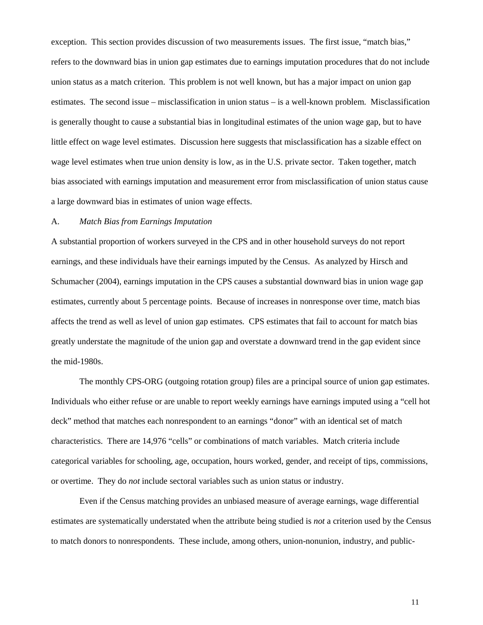exception. This section provides discussion of two measurements issues. The first issue, "match bias," refers to the downward bias in union gap estimates due to earnings imputation procedures that do not include union status as a match criterion. This problem is not well known, but has a major impact on union gap estimates. The second issue – misclassification in union status – is a well-known problem. Misclassification is generally thought to cause a substantial bias in longitudinal estimates of the union wage gap, but to have little effect on wage level estimates. Discussion here suggests that misclassification has a sizable effect on wage level estimates when true union density is low, as in the U.S. private sector. Taken together, match bias associated with earnings imputation and measurement error from misclassification of union status cause a large downward bias in estimates of union wage effects.

#### A. *Match Bias from Earnings Imputation*

A substantial proportion of workers surveyed in the CPS and in other household surveys do not report earnings, and these individuals have their earnings imputed by the Census. As analyzed by Hirsch and Schumacher (2004), earnings imputation in the CPS causes a substantial downward bias in union wage gap estimates, currently about 5 percentage points. Because of increases in nonresponse over time, match bias affects the trend as well as level of union gap estimates. CPS estimates that fail to account for match bias greatly understate the magnitude of the union gap and overstate a downward trend in the gap evident since the mid-1980s.

The monthly CPS-ORG (outgoing rotation group) files are a principal source of union gap estimates. Individuals who either refuse or are unable to report weekly earnings have earnings imputed using a "cell hot deck" method that matches each nonrespondent to an earnings "donor" with an identical set of match characteristics. There are 14,976 "cells" or combinations of match variables. Match criteria include categorical variables for schooling, age, occupation, hours worked, gender, and receipt of tips, commissions, or overtime. They do *not* include sectoral variables such as union status or industry.

Even if the Census matching provides an unbiased measure of average earnings, wage differential estimates are systematically understated when the attribute being studied is *not* a criterion used by the Census to match donors to nonrespondents. These include, among others, union-nonunion, industry, and public-

11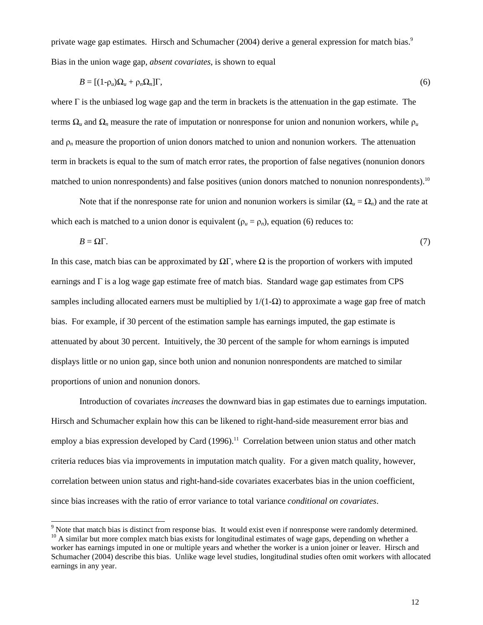private wage gap estimates. Hirsch and Schumacher (2004) derive a general expression for match bias.<sup>9</sup> Bias in the union wage gap, *absent covariates*, is shown to equal

$$
B = [(1-\rho_u)\Omega_u + \rho_n\Omega_n]\Gamma,\tag{6}
$$

where  $\Gamma$  is the unbiased log wage gap and the term in brackets is the attenuation in the gap estimate. The terms  $\Omega_u$  and  $\Omega_n$  measure the rate of imputation or nonresponse for union and nonunion workers, while  $\rho_u$ and  $\rho_n$  measure the proportion of union donors matched to union and nonunion workers. The attenuation term in brackets is equal to the sum of match error rates, the proportion of false negatives (nonunion donors matched to union nonrespondents) and false positives (union donors matched to nonunion nonrespondents).<sup>10</sup>

Note that if the nonresponse rate for union and nonunion workers is similar ( $\Omega_u = \Omega_n$ ) and the rate at which each is matched to a union donor is equivalent ( $\rho_u = \rho_n$ ), equation (6) reduces to:

$$
B = \Omega \Gamma. \tag{7}
$$

In this case, match bias can be approximated by *Ω*Γ, where *Ω* is the proportion of workers with imputed earnings and Γ is a log wage gap estimate free of match bias. Standard wage gap estimates from CPS samples including allocated earners must be multiplied by  $1/(1-\Omega)$  to approximate a wage gap free of match bias. For example, if 30 percent of the estimation sample has earnings imputed, the gap estimate is attenuated by about 30 percent. Intuitively, the 30 percent of the sample for whom earnings is imputed displays little or no union gap, since both union and nonunion nonrespondents are matched to similar proportions of union and nonunion donors.

Introduction of covariates *increases* the downward bias in gap estimates due to earnings imputation. Hirsch and Schumacher explain how this can be likened to right-hand-side measurement error bias and employ a bias expression developed by Card (1996).<sup>11</sup> Correlation between union status and other match criteria reduces bias via improvements in imputation match quality. For a given match quality, however, correlation between union status and right-hand-side covariates exacerbates bias in the union coefficient, since bias increases with the ratio of error variance to total variance *conditional on covariates*.

1

<sup>&</sup>lt;sup>9</sup> Note that match bias is distinct from response bias. It would exist even if nonresponse were randomly determined. <sup>10</sup> A similar but more complex match bias exists for longitudinal estimates of wage gaps, depending on whether a

worker has earnings imputed in one or multiple years and whether the worker is a union joiner or leaver. Hirsch and Schumacher (2004) describe this bias. Unlike wage level studies, longitudinal studies often omit workers with allocated earnings in any year.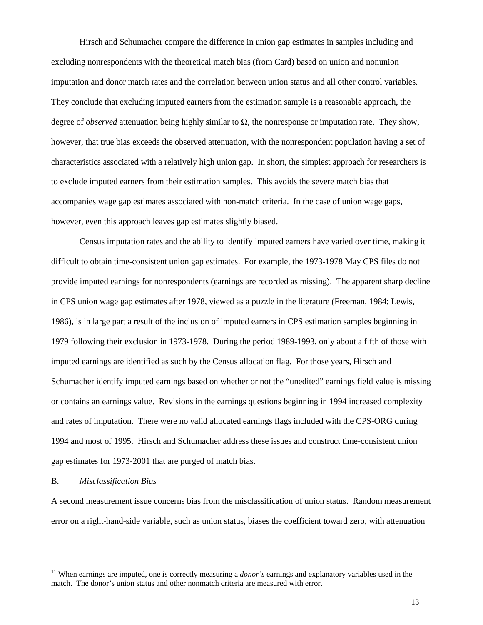Hirsch and Schumacher compare the difference in union gap estimates in samples including and excluding nonrespondents with the theoretical match bias (from Card) based on union and nonunion imputation and donor match rates and the correlation between union status and all other control variables. They conclude that excluding imputed earners from the estimation sample is a reasonable approach, the degree of *observed* attenuation being highly similar to *Ω*, the nonresponse or imputation rate. They show, however, that true bias exceeds the observed attenuation, with the nonrespondent population having a set of characteristics associated with a relatively high union gap. In short, the simplest approach for researchers is to exclude imputed earners from their estimation samples. This avoids the severe match bias that accompanies wage gap estimates associated with non-match criteria. In the case of union wage gaps, however, even this approach leaves gap estimates slightly biased.

Census imputation rates and the ability to identify imputed earners have varied over time, making it difficult to obtain time-consistent union gap estimates. For example, the 1973-1978 May CPS files do not provide imputed earnings for nonrespondents (earnings are recorded as missing). The apparent sharp decline in CPS union wage gap estimates after 1978, viewed as a puzzle in the literature (Freeman, 1984; Lewis, 1986), is in large part a result of the inclusion of imputed earners in CPS estimation samples beginning in 1979 following their exclusion in 1973-1978. During the period 1989-1993, only about a fifth of those with imputed earnings are identified as such by the Census allocation flag. For those years, Hirsch and Schumacher identify imputed earnings based on whether or not the "unedited" earnings field value is missing or contains an earnings value. Revisions in the earnings questions beginning in 1994 increased complexity and rates of imputation. There were no valid allocated earnings flags included with the CPS-ORG during 1994 and most of 1995. Hirsch and Schumacher address these issues and construct time-consistent union gap estimates for 1973-2001 that are purged of match bias.

#### B. *Misclassification Bias*

A second measurement issue concerns bias from the misclassification of union status. Random measurement error on a right-hand-side variable, such as union status, biases the coefficient toward zero, with attenuation

<sup>&</sup>lt;sup>11</sup> When earnings are imputed, one is correctly measuring a *donor's* earnings and explanatory variables used in the match. The donor's union status and other nonmatch criteria are measured with error.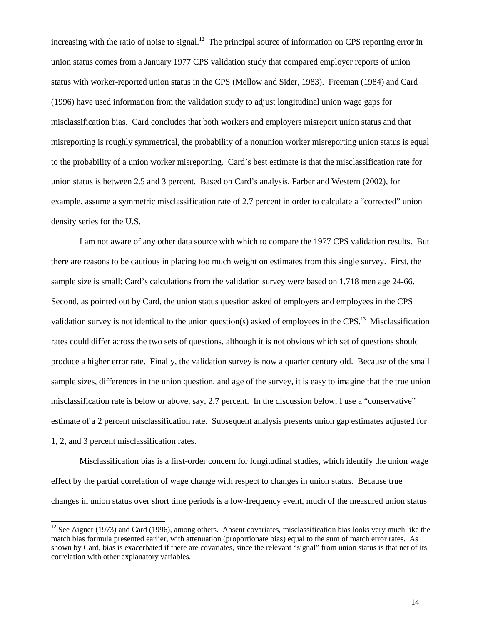increasing with the ratio of noise to signal.<sup>12</sup> The principal source of information on CPS reporting error in union status comes from a January 1977 CPS validation study that compared employer reports of union status with worker-reported union status in the CPS (Mellow and Sider, 1983). Freeman (1984) and Card (1996) have used information from the validation study to adjust longitudinal union wage gaps for misclassification bias. Card concludes that both workers and employers misreport union status and that misreporting is roughly symmetrical, the probability of a nonunion worker misreporting union status is equal to the probability of a union worker misreporting. Card's best estimate is that the misclassification rate for union status is between 2.5 and 3 percent. Based on Card's analysis, Farber and Western (2002), for example, assume a symmetric misclassification rate of 2.7 percent in order to calculate a "corrected" union density series for the U.S.

I am not aware of any other data source with which to compare the 1977 CPS validation results. But there are reasons to be cautious in placing too much weight on estimates from this single survey. First, the sample size is small: Card's calculations from the validation survey were based on 1,718 men age 24-66. Second, as pointed out by Card, the union status question asked of employers and employees in the CPS validation survey is not identical to the union question(s) asked of employees in the CPS.<sup>13</sup> Misclassification rates could differ across the two sets of questions, although it is not obvious which set of questions should produce a higher error rate. Finally, the validation survey is now a quarter century old. Because of the small sample sizes, differences in the union question, and age of the survey, it is easy to imagine that the true union misclassification rate is below or above, say, 2.7 percent. In the discussion below, I use a "conservative" estimate of a 2 percent misclassification rate. Subsequent analysis presents union gap estimates adjusted for 1, 2, and 3 percent misclassification rates.

Misclassification bias is a first-order concern for longitudinal studies, which identify the union wage effect by the partial correlation of wage change with respect to changes in union status. Because true changes in union status over short time periods is a low-frequency event, much of the measured union status

1

 $12$  See Aigner (1973) and Card (1996), among others. Absent covariates, misclassification bias looks very much like the match bias formula presented earlier, with attenuation (proportionate bias) equal to the sum of match error rates. As shown by Card, bias is exacerbated if there are covariates, since the relevant "signal" from union status is that net of its correlation with other explanatory variables.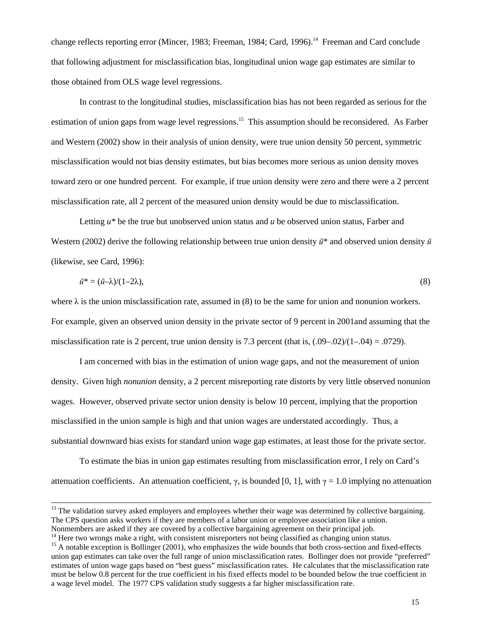change reflects reporting error (Mincer, 1983; Freeman, 1984; Card, 1996).<sup>14</sup> Freeman and Card conclude that following adjustment for misclassification bias, longitudinal union wage gap estimates are similar to those obtained from OLS wage level regressions.

In contrast to the longitudinal studies, misclassification bias has not been regarded as serious for the estimation of union gaps from wage level regressions.<sup>15</sup> This assumption should be reconsidered. As Farber and Western (2002) show in their analysis of union density, were true union density 50 percent, symmetric misclassification would not bias density estimates, but bias becomes more serious as union density moves toward zero or one hundred percent. For example, if true union density were zero and there were a 2 percent misclassification rate, all 2 percent of the measured union density would be due to misclassification.

Letting *u\** be the true but unobserved union status and *u* be observed union status, Farber and Western (2002) derive the following relationship between true union density  $\bar{u}^*$  and observed union density  $\bar{u}$ (likewise, see Card, 1996):

$$
\bar{u}^* = (\bar{u} - \lambda)/(1 - 2\lambda),\tag{8}
$$

where  $\lambda$  is the union misclassification rate, assumed in (8) to be the same for union and nonunion workers. For example, given an observed union density in the private sector of 9 percent in 2001and assuming that the misclassification rate is 2 percent, true union density is 7.3 percent (that is,  $(.09-.02)/(1-.04) = .0729$ ).

I am concerned with bias in the estimation of union wage gaps, and not the measurement of union density. Given high *nonunion* density, a 2 percent misreporting rate distorts by very little observed nonunion wages. However, observed private sector union density is below 10 percent, implying that the proportion misclassified in the union sample is high and that union wages are understated accordingly. Thus, a substantial downward bias exists for standard union wage gap estimates, at least those for the private sector.

To estimate the bias in union gap estimates resulting from misclassification error, I rely on Card's attenuation coefficients. An attenuation coefficient, γ, is bounded [0, 1], with  $γ = 1.0$  implying no attenuation

 $13$  The validation survey asked employers and employees whether their wage was determined by collective bargaining. The CPS question asks workers if they are members of a labor union or employee association like a union. Nonmembers are asked if they are covered by a collective bargaining agreement on their principal job.

 $14$  Here two wrongs make a right, with consistent misreporters not being classified as changing union status.

<sup>&</sup>lt;sup>15</sup> A notable exception is Bollinger (2001), who emphasizes the wide bounds that both cross-section and fixed-effects union gap estimates can take over the full range of union misclassification rates. Bollinger does not provide "preferred" estimates of union wage gaps based on "best guess" misclassification rates. He calculates that the misclassification rate must be below 0.8 percent for the true coefficient in his fixed effects model to be bounded below the true coefficient in a wage level model. The 1977 CPS validation study suggests a far higher misclassification rate.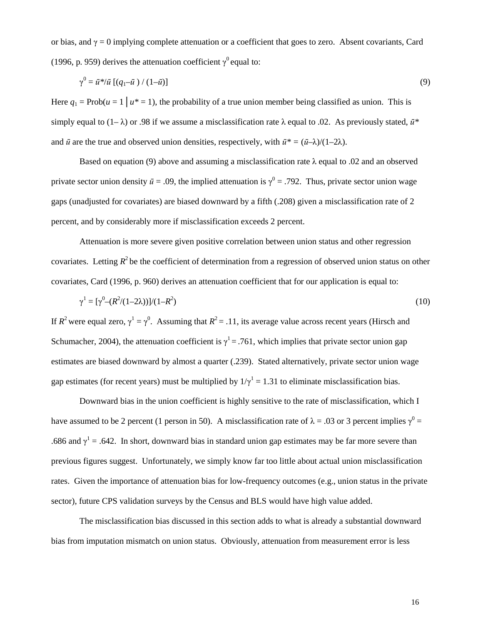or bias, and  $\gamma = 0$  implying complete attenuation or a coefficient that goes to zero. Absent covariants, Card (1996, p. 959) derives the attenuation coefficient  $\gamma^0$  equal to:

$$
\gamma^0 = \bar{u}^* / \bar{u} \left[ \left( q_1 - \bar{u} \right) / \left( 1 - \bar{u} \right) \right] \tag{9}
$$

Here  $q_1 = \text{Prob}(u = 1 | u^* = 1)$ , the probability of a true union member being classified as union. This is simply equal to  $(1-\lambda)$  or .98 if we assume a misclassification rate  $\lambda$  equal to .02. As previously stated,  $\bar{u}^*$ and  $\bar{u}$  are the true and observed union densities, respectively, with  $\bar{u}^* = (\bar{u} - \lambda)/(1 - 2\lambda)$ .

Based on equation (9) above and assuming a misclassification rate  $\lambda$  equal to .02 and an observed private sector union density  $\bar{u} = .09$ , the implied attenuation is  $\gamma^0 = .792$ . Thus, private sector union wage gaps (unadjusted for covariates) are biased downward by a fifth (.208) given a misclassification rate of 2 percent, and by considerably more if misclassification exceeds 2 percent.

Attenuation is more severe given positive correlation between union status and other regression covariates. Letting  $R^2$  be the coefficient of determination from a regression of observed union status on other covariates, Card (1996, p. 960) derives an attenuation coefficient that for our application is equal to:

$$
\gamma^1 = [\gamma^0 - (R^2/(1 - 2\lambda))] / (1 - R^2)
$$
\n(10)

If  $R^2$  were equal zero,  $\gamma^1 = \gamma^0$ . Assuming that  $R^2 = .11$ , its average value across recent years (Hirsch and Schumacher, 2004), the attenuation coefficient is  $\gamma^1 = .761$ , which implies that private sector union gap estimates are biased downward by almost a quarter (.239). Stated alternatively, private sector union wage gap estimates (for recent years) must be multiplied by  $1/\gamma^1 = 1.31$  to eliminate misclassification bias.

Downward bias in the union coefficient is highly sensitive to the rate of misclassification, which I have assumed to be 2 percent (1 person in 50). A misclassification rate of  $\lambda = .03$  or 3 percent implies  $\gamma^0 =$ .686 and  $\gamma^1$  = .642. In short, downward bias in standard union gap estimates may be far more severe than previous figures suggest. Unfortunately, we simply know far too little about actual union misclassification rates. Given the importance of attenuation bias for low-frequency outcomes (e.g., union status in the private sector), future CPS validation surveys by the Census and BLS would have high value added.

The misclassification bias discussed in this section adds to what is already a substantial downward bias from imputation mismatch on union status. Obviously, attenuation from measurement error is less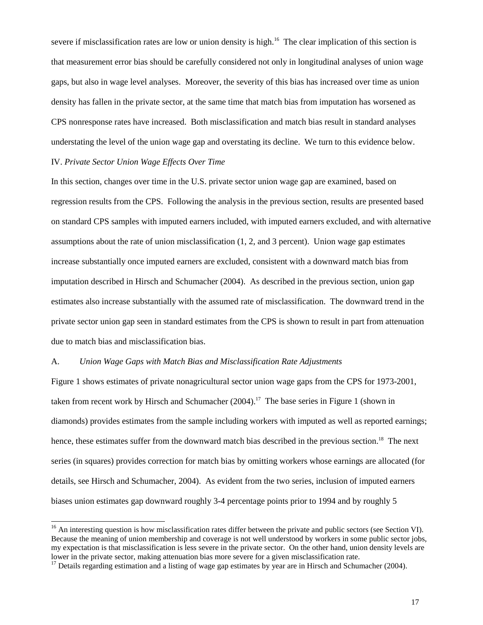severe if misclassification rates are low or union density is high.<sup>16</sup> The clear implication of this section is that measurement error bias should be carefully considered not only in longitudinal analyses of union wage gaps, but also in wage level analyses. Moreover, the severity of this bias has increased over time as union density has fallen in the private sector, at the same time that match bias from imputation has worsened as CPS nonresponse rates have increased. Both misclassification and match bias result in standard analyses understating the level of the union wage gap and overstating its decline. We turn to this evidence below.

#### IV. *Private Sector Union Wage Effects Over Time*

1

In this section, changes over time in the U.S. private sector union wage gap are examined, based on regression results from the CPS. Following the analysis in the previous section, results are presented based on standard CPS samples with imputed earners included, with imputed earners excluded, and with alternative assumptions about the rate of union misclassification (1, 2, and 3 percent). Union wage gap estimates increase substantially once imputed earners are excluded, consistent with a downward match bias from imputation described in Hirsch and Schumacher (2004). As described in the previous section, union gap estimates also increase substantially with the assumed rate of misclassification. The downward trend in the private sector union gap seen in standard estimates from the CPS is shown to result in part from attenuation due to match bias and misclassification bias.

#### A. *Union Wage Gaps with Match Bias and Misclassification Rate Adjustments*

Figure 1 shows estimates of private nonagricultural sector union wage gaps from the CPS for 1973-2001, taken from recent work by Hirsch and Schumacher  $(2004).$ <sup>17</sup> The base series in Figure 1 (shown in diamonds) provides estimates from the sample including workers with imputed as well as reported earnings; hence, these estimates suffer from the downward match bias described in the previous section.<sup>18</sup> The next series (in squares) provides correction for match bias by omitting workers whose earnings are allocated (for details, see Hirsch and Schumacher, 2004). As evident from the two series, inclusion of imputed earners biases union estimates gap downward roughly 3-4 percentage points prior to 1994 and by roughly 5

<sup>&</sup>lt;sup>16</sup> An interesting question is how misclassification rates differ between the private and public sectors (see Section VI). Because the meaning of union membership and coverage is not well understood by workers in some public sector jobs, my expectation is that misclassification is less severe in the private sector. On the other hand, union density levels are lower in the private sector, making attenuation bias more severe for a given misclassification rate.

<sup>&</sup>lt;sup>17</sup> Details regarding estimation and a listing of wage gap estimates by year are in Hirsch and Schumacher (2004).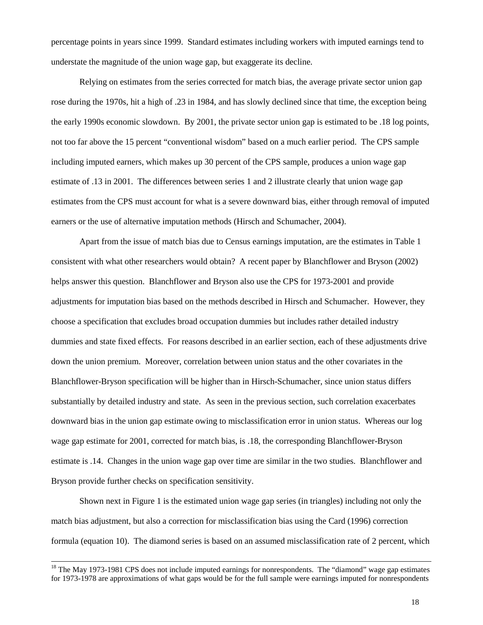percentage points in years since 1999. Standard estimates including workers with imputed earnings tend to understate the magnitude of the union wage gap, but exaggerate its decline.

Relying on estimates from the series corrected for match bias, the average private sector union gap rose during the 1970s, hit a high of .23 in 1984, and has slowly declined since that time, the exception being the early 1990s economic slowdown. By 2001, the private sector union gap is estimated to be .18 log points, not too far above the 15 percent "conventional wisdom" based on a much earlier period. The CPS sample including imputed earners, which makes up 30 percent of the CPS sample, produces a union wage gap estimate of .13 in 2001. The differences between series 1 and 2 illustrate clearly that union wage gap estimates from the CPS must account for what is a severe downward bias, either through removal of imputed earners or the use of alternative imputation methods (Hirsch and Schumacher, 2004).

Apart from the issue of match bias due to Census earnings imputation, are the estimates in Table 1 consistent with what other researchers would obtain? A recent paper by Blanchflower and Bryson (2002) helps answer this question. Blanchflower and Bryson also use the CPS for 1973-2001 and provide adjustments for imputation bias based on the methods described in Hirsch and Schumacher. However, they choose a specification that excludes broad occupation dummies but includes rather detailed industry dummies and state fixed effects. For reasons described in an earlier section, each of these adjustments drive down the union premium. Moreover, correlation between union status and the other covariates in the Blanchflower-Bryson specification will be higher than in Hirsch-Schumacher, since union status differs substantially by detailed industry and state. As seen in the previous section, such correlation exacerbates downward bias in the union gap estimate owing to misclassification error in union status. Whereas our log wage gap estimate for 2001, corrected for match bias, is .18, the corresponding Blanchflower-Bryson estimate is .14. Changes in the union wage gap over time are similar in the two studies. Blanchflower and Bryson provide further checks on specification sensitivity.

Shown next in Figure 1 is the estimated union wage gap series (in triangles) including not only the match bias adjustment, but also a correction for misclassification bias using the Card (1996) correction formula (equation 10). The diamond series is based on an assumed misclassification rate of 2 percent, which

 $18$  The May 1973-1981 CPS does not include imputed earnings for nonrespondents. The "diamond" wage gap estimates for 1973-1978 are approximations of what gaps would be for the full sample were earnings imputed for nonrespondents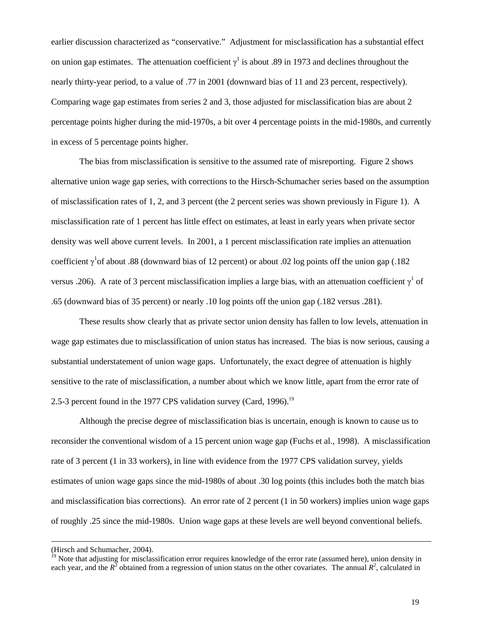earlier discussion characterized as "conservative." Adjustment for misclassification has a substantial effect on union gap estimates. The attenuation coefficient  $\gamma^1$  is about .89 in 1973 and declines throughout the nearly thirty-year period, to a value of .77 in 2001 (downward bias of 11 and 23 percent, respectively). Comparing wage gap estimates from series 2 and 3, those adjusted for misclassification bias are about 2 percentage points higher during the mid-1970s, a bit over 4 percentage points in the mid-1980s, and currently in excess of 5 percentage points higher.

The bias from misclassification is sensitive to the assumed rate of misreporting. Figure 2 shows alternative union wage gap series, with corrections to the Hirsch-Schumacher series based on the assumption of misclassification rates of 1, 2, and 3 percent (the 2 percent series was shown previously in Figure 1). A misclassification rate of 1 percent has little effect on estimates, at least in early years when private sector density was well above current levels. In 2001, a 1 percent misclassification rate implies an attenuation coefficient  $\gamma$ <sup>1</sup> of about .88 (downward bias of 12 percent) or about .02 log points off the union gap (.182 versus .206). A rate of 3 percent misclassification implies a large bias, with an attenuation coefficient  $\gamma^1$  of .65 (downward bias of 35 percent) or nearly .10 log points off the union gap (.182 versus .281).

These results show clearly that as private sector union density has fallen to low levels, attenuation in wage gap estimates due to misclassification of union status has increased. The bias is now serious, causing a substantial understatement of union wage gaps. Unfortunately, the exact degree of attenuation is highly sensitive to the rate of misclassification, a number about which we know little, apart from the error rate of 2.5-3 percent found in the 1977 CPS validation survey (Card, 1996).<sup>19</sup>

Although the precise degree of misclassification bias is uncertain, enough is known to cause us to reconsider the conventional wisdom of a 15 percent union wage gap (Fuchs et al., 1998). A misclassification rate of 3 percent (1 in 33 workers), in line with evidence from the 1977 CPS validation survey, yields estimates of union wage gaps since the mid-1980s of about .30 log points (this includes both the match bias and misclassification bias corrections). An error rate of 2 percent (1 in 50 workers) implies union wage gaps of roughly .25 since the mid-1980s. Union wage gaps at these levels are well beyond conventional beliefs.

-

<sup>(</sup>Hirsch and Schumacher, 2004).

<sup>&</sup>lt;sup>19</sup> Note that adjusting for misclassification error requires knowledge of the error rate (assumed here), union density in each year, and the  $R^2$  obtained from a regression of union status on the other covariates. The annual  $R^2$ , calculated in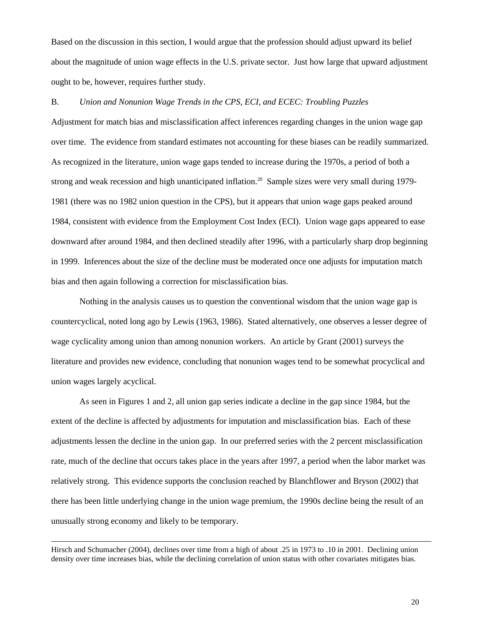Based on the discussion in this section, I would argue that the profession should adjust upward its belief about the magnitude of union wage effects in the U.S. private sector. Just how large that upward adjustment ought to be, however, requires further study.

#### B. *Union and Nonunion Wage Trends in the CPS, ECI, and ECEC: Troubling Puzzles*

Adjustment for match bias and misclassification affect inferences regarding changes in the union wage gap over time. The evidence from standard estimates not accounting for these biases can be readily summarized. As recognized in the literature, union wage gaps tended to increase during the 1970s, a period of both a strong and weak recession and high unanticipated inflation.<sup>20</sup> Sample sizes were very small during 1979-1981 (there was no 1982 union question in the CPS), but it appears that union wage gaps peaked around 1984, consistent with evidence from the Employment Cost Index (ECI). Union wage gaps appeared to ease downward after around 1984, and then declined steadily after 1996, with a particularly sharp drop beginning in 1999. Inferences about the size of the decline must be moderated once one adjusts for imputation match bias and then again following a correction for misclassification bias.

Nothing in the analysis causes us to question the conventional wisdom that the union wage gap is countercyclical, noted long ago by Lewis (1963, 1986). Stated alternatively, one observes a lesser degree of wage cyclicality among union than among nonunion workers. An article by Grant (2001) surveys the literature and provides new evidence, concluding that nonunion wages tend to be somewhat procyclical and union wages largely acyclical.

As seen in Figures 1 and 2, all union gap series indicate a decline in the gap since 1984, but the extent of the decline is affected by adjustments for imputation and misclassification bias. Each of these adjustments lessen the decline in the union gap. In our preferred series with the 2 percent misclassification rate, much of the decline that occurs takes place in the years after 1997, a period when the labor market was relatively strong. This evidence supports the conclusion reached by Blanchflower and Bryson (2002) that there has been little underlying change in the union wage premium, the 1990s decline being the result of an unusually strong economy and likely to be temporary.

-

Hirsch and Schumacher (2004), declines over time from a high of about .25 in 1973 to .10 in 2001. Declining union density over time increases bias, while the declining correlation of union status with other covariates mitigates bias.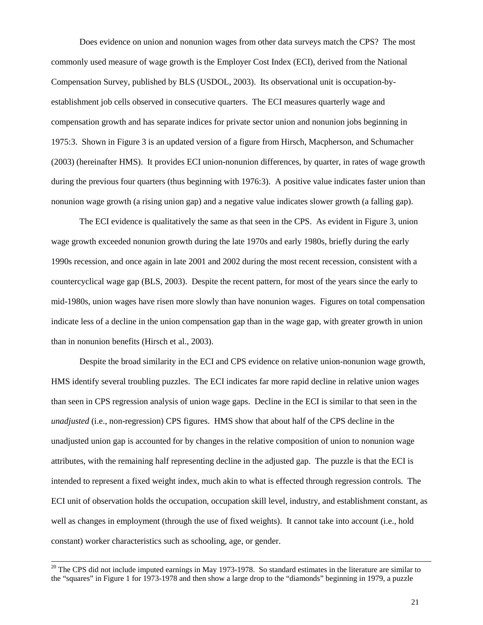Does evidence on union and nonunion wages from other data surveys match the CPS? The most commonly used measure of wage growth is the Employer Cost Index (ECI), derived from the National Compensation Survey, published by BLS (USDOL, 2003). Its observational unit is occupation-byestablishment job cells observed in consecutive quarters. The ECI measures quarterly wage and compensation growth and has separate indices for private sector union and nonunion jobs beginning in 1975:3. Shown in Figure 3 is an updated version of a figure from Hirsch, Macpherson, and Schumacher (2003) (hereinafter HMS). It provides ECI union-nonunion differences, by quarter, in rates of wage growth during the previous four quarters (thus beginning with 1976:3). A positive value indicates faster union than nonunion wage growth (a rising union gap) and a negative value indicates slower growth (a falling gap).

The ECI evidence is qualitatively the same as that seen in the CPS. As evident in Figure 3, union wage growth exceeded nonunion growth during the late 1970s and early 1980s, briefly during the early 1990s recession, and once again in late 2001 and 2002 during the most recent recession, consistent with a countercyclical wage gap (BLS, 2003). Despite the recent pattern, for most of the years since the early to mid-1980s, union wages have risen more slowly than have nonunion wages. Figures on total compensation indicate less of a decline in the union compensation gap than in the wage gap, with greater growth in union than in nonunion benefits (Hirsch et al., 2003).

Despite the broad similarity in the ECI and CPS evidence on relative union-nonunion wage growth, HMS identify several troubling puzzles. The ECI indicates far more rapid decline in relative union wages than seen in CPS regression analysis of union wage gaps. Decline in the ECI is similar to that seen in the *unadjusted* (i.e., non-regression) CPS figures. HMS show that about half of the CPS decline in the unadjusted union gap is accounted for by changes in the relative composition of union to nonunion wage attributes, with the remaining half representing decline in the adjusted gap. The puzzle is that the ECI is intended to represent a fixed weight index, much akin to what is effected through regression controls. The ECI unit of observation holds the occupation, occupation skill level, industry, and establishment constant, as well as changes in employment (through the use of fixed weights). It cannot take into account (i.e., hold constant) worker characteristics such as schooling, age, or gender.

 $20$  The CPS did not include imputed earnings in May 1973-1978. So standard estimates in the literature are similar to the "squares" in Figure 1 for 1973-1978 and then show a large drop to the "diamonds" beginning in 1979, a puzzle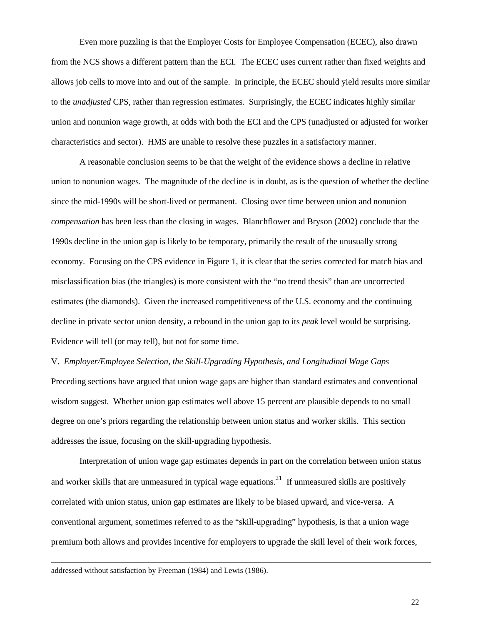Even more puzzling is that the Employer Costs for Employee Compensation (ECEC), also drawn from the NCS shows a different pattern than the ECI. The ECEC uses current rather than fixed weights and allows job cells to move into and out of the sample. In principle, the ECEC should yield results more similar to the *unadjusted* CPS, rather than regression estimates. Surprisingly, the ECEC indicates highly similar union and nonunion wage growth, at odds with both the ECI and the CPS (unadjusted or adjusted for worker characteristics and sector). HMS are unable to resolve these puzzles in a satisfactory manner.

A reasonable conclusion seems to be that the weight of the evidence shows a decline in relative union to nonunion wages. The magnitude of the decline is in doubt, as is the question of whether the decline since the mid-1990s will be short-lived or permanent. Closing over time between union and nonunion *compensation* has been less than the closing in wages. Blanchflower and Bryson (2002) conclude that the 1990s decline in the union gap is likely to be temporary, primarily the result of the unusually strong economy. Focusing on the CPS evidence in Figure 1, it is clear that the series corrected for match bias and misclassification bias (the triangles) is more consistent with the "no trend thesis" than are uncorrected estimates (the diamonds). Given the increased competitiveness of the U.S. economy and the continuing decline in private sector union density, a rebound in the union gap to its *peak* level would be surprising. Evidence will tell (or may tell), but not for some time.

V. *Employer/Employee Selection, the Skill-Upgrading Hypothesis, and Longitudinal Wage Gaps* Preceding sections have argued that union wage gaps are higher than standard estimates and conventional wisdom suggest. Whether union gap estimates well above 15 percent are plausible depends to no small degree on one's priors regarding the relationship between union status and worker skills. This section addresses the issue, focusing on the skill-upgrading hypothesis.

Interpretation of union wage gap estimates depends in part on the correlation between union status and worker skills that are unmeasured in typical wage equations.<sup>21</sup> If unmeasured skills are positively correlated with union status, union gap estimates are likely to be biased upward, and vice-versa. A conventional argument, sometimes referred to as the "skill-upgrading" hypothesis, is that a union wage premium both allows and provides incentive for employers to upgrade the skill level of their work forces,

addressed without satisfaction by Freeman (1984) and Lewis (1986).

1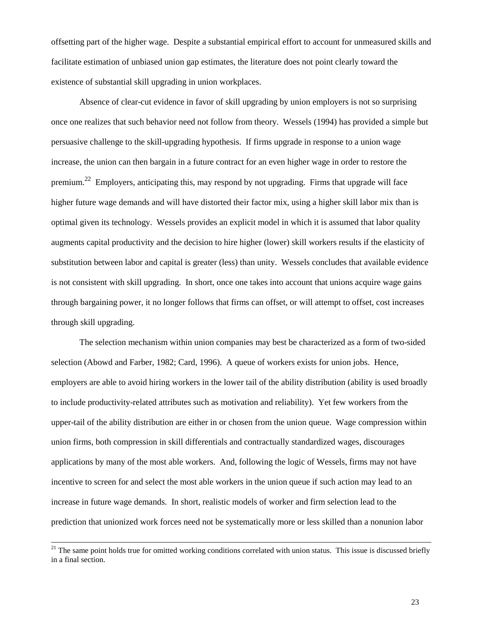offsetting part of the higher wage. Despite a substantial empirical effort to account for unmeasured skills and facilitate estimation of unbiased union gap estimates, the literature does not point clearly toward the existence of substantial skill upgrading in union workplaces.

Absence of clear-cut evidence in favor of skill upgrading by union employers is not so surprising once one realizes that such behavior need not follow from theory. Wessels (1994) has provided a simple but persuasive challenge to the skill-upgrading hypothesis. If firms upgrade in response to a union wage increase, the union can then bargain in a future contract for an even higher wage in order to restore the premium.<sup>22</sup> Employers, anticipating this, may respond by not upgrading. Firms that upgrade will face higher future wage demands and will have distorted their factor mix, using a higher skill labor mix than is optimal given its technology. Wessels provides an explicit model in which it is assumed that labor quality augments capital productivity and the decision to hire higher (lower) skill workers results if the elasticity of substitution between labor and capital is greater (less) than unity. Wessels concludes that available evidence is not consistent with skill upgrading. In short, once one takes into account that unions acquire wage gains through bargaining power, it no longer follows that firms can offset, or will attempt to offset, cost increases through skill upgrading.

The selection mechanism within union companies may best be characterized as a form of two-sided selection (Abowd and Farber, 1982; Card, 1996). A queue of workers exists for union jobs. Hence, employers are able to avoid hiring workers in the lower tail of the ability distribution (ability is used broadly to include productivity-related attributes such as motivation and reliability). Yet few workers from the upper-tail of the ability distribution are either in or chosen from the union queue. Wage compression within union firms, both compression in skill differentials and contractually standardized wages, discourages applications by many of the most able workers. And, following the logic of Wessels, firms may not have incentive to screen for and select the most able workers in the union queue if such action may lead to an increase in future wage demands. In short, realistic models of worker and firm selection lead to the prediction that unionized work forces need not be systematically more or less skilled than a nonunion labor

 $21$  The same point holds true for omitted working conditions correlated with union status. This issue is discussed briefly in a final section.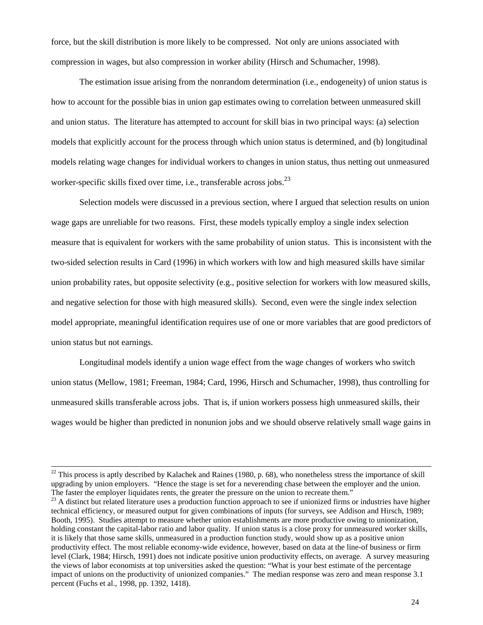force, but the skill distribution is more likely to be compressed. Not only are unions associated with compression in wages, but also compression in worker ability (Hirsch and Schumacher, 1998).

The estimation issue arising from the nonrandom determination (i.e., endogeneity) of union status is how to account for the possible bias in union gap estimates owing to correlation between unmeasured skill and union status. The literature has attempted to account for skill bias in two principal ways: (a) selection models that explicitly account for the process through which union status is determined, and (b) longitudinal models relating wage changes for individual workers to changes in union status, thus netting out unmeasured worker-specific skills fixed over time, i.e., transferable across jobs. $^{23}$ 

Selection models were discussed in a previous section, where I argued that selection results on union wage gaps are unreliable for two reasons. First, these models typically employ a single index selection measure that is equivalent for workers with the same probability of union status. This is inconsistent with the two-sided selection results in Card (1996) in which workers with low and high measured skills have similar union probability rates, but opposite selectivity (e.g., positive selection for workers with low measured skills, and negative selection for those with high measured skills). Second, even were the single index selection model appropriate, meaningful identification requires use of one or more variables that are good predictors of union status but not earnings.

Longitudinal models identify a union wage effect from the wage changes of workers who switch union status (Mellow, 1981; Freeman, 1984; Card, 1996, Hirsch and Schumacher, 1998), thus controlling for unmeasured skills transferable across jobs. That is, if union workers possess high unmeasured skills, their wages would be higher than predicted in nonunion jobs and we should observe relatively small wage gains in

 $22$  This process is aptly described by Kalachek and Raines (1980, p. 68), who nonetheless stress the importance of skill upgrading by union employers. "Hence the stage is set for a neverending chase between the employer and the union. The faster the employer liquidates rents, the greater the pressure on the union to recreate them."<br><sup>23</sup> A distinct but related literature uses a production function approach to see if unionized firms or industries have hi

technical efficiency, or measured output for given combinations of inputs (for surveys, see Addison and Hirsch, 1989; Booth, 1995). Studies attempt to measure whether union establishments are more productive owing to unionization, holding constant the capital-labor ratio and labor quality. If union status is a close proxy for unmeasured worker skills, it is likely that those same skills, unmeasured in a production function study, would show up as a positive union productivity effect. The most reliable economy-wide evidence, however, based on data at the line-of business or firm level (Clark, 1984; Hirsch, 1991) does not indicate positive union productivity effects, on average. A survey measuring the views of labor economists at top universities asked the question: "What is your best estimate of the percentage impact of unions on the productivity of unionized companies." The median response was zero and mean response 3.1 percent (Fuchs et al., 1998, pp. 1392, 1418).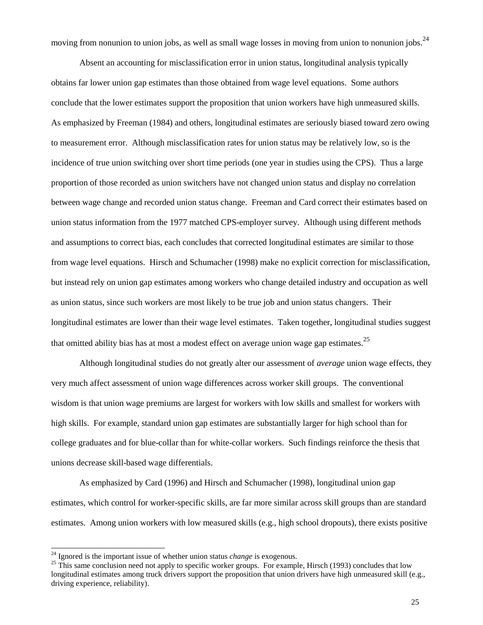moving from nonunion to union jobs, as well as small wage losses in moving from union to nonunion jobs.<sup>24</sup>

Absent an accounting for misclassification error in union status, longitudinal analysis typically obtains far lower union gap estimates than those obtained from wage level equations. Some authors conclude that the lower estimates support the proposition that union workers have high unmeasured skills. As emphasized by Freeman (1984) and others, longitudinal estimates are seriously biased toward zero owing to measurement error. Although misclassification rates for union status may be relatively low, so is the incidence of true union switching over short time periods (one year in studies using the CPS). Thus a large proportion of those recorded as union switchers have not changed union status and display no correlation between wage change and recorded union status change. Freeman and Card correct their estimates based on union status information from the 1977 matched CPS-employer survey. Although using different methods and assumptions to correct bias, each concludes that corrected longitudinal estimates are similar to those from wage level equations. Hirsch and Schumacher (1998) make no explicit correction for misclassification, but instead rely on union gap estimates among workers who change detailed industry and occupation as well as union status, since such workers are most likely to be true job and union status changers. Their longitudinal estimates are lower than their wage level estimates. Taken together, longitudinal studies suggest that omitted ability bias has at most a modest effect on average union wage gap estimates.<sup>25</sup>

Although longitudinal studies do not greatly alter our assessment of *average* union wage effects, they very much affect assessment of union wage differences across worker skill groups. The conventional wisdom is that union wage premiums are largest for workers with low skills and smallest for workers with high skills. For example, standard union gap estimates are substantially larger for high school than for college graduates and for blue-collar than for white-collar workers. Such findings reinforce the thesis that unions decrease skill-based wage differentials.

As emphasized by Card (1996) and Hirsch and Schumacher (1998), longitudinal union gap estimates, which control for worker-specific skills, are far more similar across skill groups than are standard estimates. Among union workers with low measured skills (e.g., high school dropouts), there exists positive

<sup>&</sup>lt;sup>24</sup> Ignored is the important issue of whether union status *change* is exogenous.

<sup>&</sup>lt;sup>25</sup> This same conclusion need not apply to specific worker groups. For example, Hirsch (1993) concludes that low longitudinal estimates among truck drivers support the proposition that union drivers have high unmeasured skill (e.g., driving experience, reliability).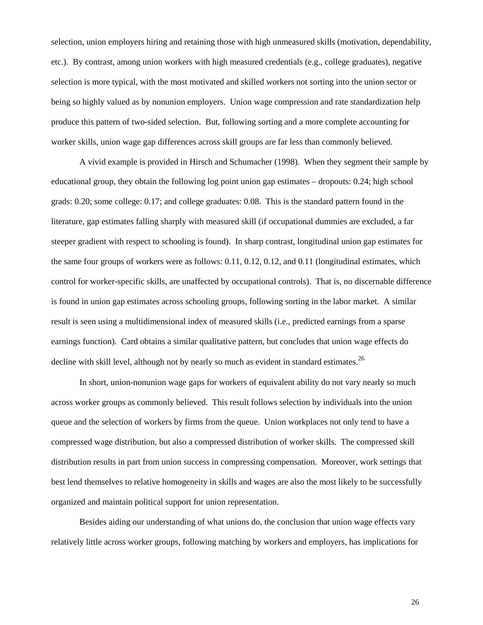selection, union employers hiring and retaining those with high unmeasured skills (motivation, dependability, etc.). By contrast, among union workers with high measured credentials (e.g., college graduates), negative selection is more typical, with the most motivated and skilled workers not sorting into the union sector or being so highly valued as by nonunion employers. Union wage compression and rate standardization help produce this pattern of two-sided selection. But, following sorting and a more complete accounting for worker skills, union wage gap differences across skill groups are far less than commonly believed.

A vivid example is provided in Hirsch and Schumacher (1998). When they segment their sample by educational group, they obtain the following log point union gap estimates – dropouts: 0.24; high school grads: 0.20; some college: 0.17; and college graduates: 0.08. This is the standard pattern found in the literature, gap estimates falling sharply with measured skill (if occupational dummies are excluded, a far steeper gradient with respect to schooling is found). In sharp contrast, longitudinal union gap estimates for the same four groups of workers were as follows: 0.11, 0.12, 0.12, and 0.11 (longitudinal estimates, which control for worker-specific skills, are unaffected by occupational controls). That is, no discernable difference is found in union gap estimates across schooling groups, following sorting in the labor market. A similar result is seen using a multidimensional index of measured skills (i.e., predicted earnings from a sparse earnings function). Card obtains a similar qualitative pattern, but concludes that union wage effects do decline with skill level, although not by nearly so much as evident in standard estimates.<sup>26</sup>

In short, union-nonunion wage gaps for workers of equivalent ability do not vary nearly so much across worker groups as commonly believed. This result follows selection by individuals into the union queue and the selection of workers by firms from the queue. Union workplaces not only tend to have a compressed wage distribution, but also a compressed distribution of worker skills. The compressed skill distribution results in part from union success in compressing compensation. Moreover, work settings that best lend themselves to relative homogeneity in skills and wages are also the most likely to be successfully organized and maintain political support for union representation.

Besides aiding our understanding of what unions do, the conclusion that union wage effects vary relatively little across worker groups, following matching by workers and employers, has implications for

26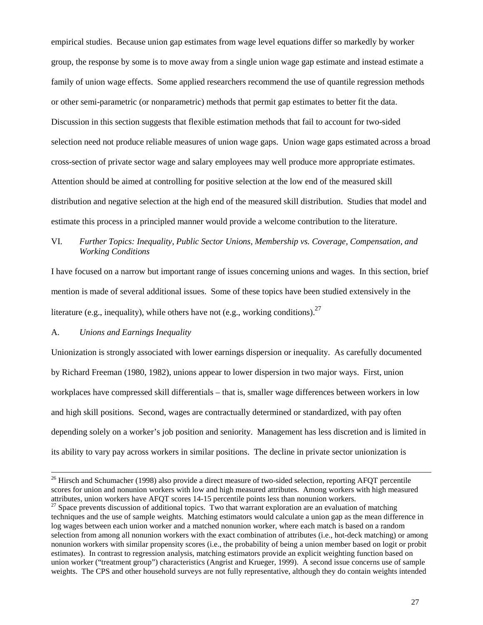empirical studies. Because union gap estimates from wage level equations differ so markedly by worker group, the response by some is to move away from a single union wage gap estimate and instead estimate a family of union wage effects. Some applied researchers recommend the use of quantile regression methods or other semi-parametric (or nonparametric) methods that permit gap estimates to better fit the data. Discussion in this section suggests that flexible estimation methods that fail to account for two-sided selection need not produce reliable measures of union wage gaps. Union wage gaps estimated across a broad cross-section of private sector wage and salary employees may well produce more appropriate estimates. Attention should be aimed at controlling for positive selection at the low end of the measured skill distribution and negative selection at the high end of the measured skill distribution. Studies that model and estimate this process in a principled manner would provide a welcome contribution to the literature.

#### VI. *Further Topics: Inequality, Public Sector Unions, Membership vs. Coverage, Compensation, and Working Conditions*

I have focused on a narrow but important range of issues concerning unions and wages. In this section, brief mention is made of several additional issues. Some of these topics have been studied extensively in the literature (e.g., inequality), while others have not (e.g., working conditions).<sup>27</sup>

#### A. *Unions and Earnings Inequality*

Unionization is strongly associated with lower earnings dispersion or inequality. As carefully documented by Richard Freeman (1980, 1982), unions appear to lower dispersion in two major ways. First, union workplaces have compressed skill differentials – that is, smaller wage differences between workers in low and high skill positions. Second, wages are contractually determined or standardized, with pay often depending solely on a worker's job position and seniority. Management has less discretion and is limited in its ability to vary pay across workers in similar positions. The decline in private sector unionization is

<sup>&</sup>lt;sup>26</sup> Hirsch and Schumacher (1998) also provide a direct measure of two-sided selection, reporting AFQT percentile scores for union and nonunion workers with low and high measured attributes. Among workers with high measured attributes, union workers have AFQT scores 14-15 percentile points less than nonunion workers.

 $^{27}$  Space prevents discussion of additional topics. Two that warrant exploration are an evaluation of matching techniques and the use of sample weights. Matching estimators would calculate a union gap as the mean difference in log wages between each union worker and a matched nonunion worker, where each match is based on a random selection from among all nonunion workers with the exact combination of attributes (i.e., hot-deck matching) or among nonunion workers with similar propensity scores (i.e., the probability of being a union member based on logit or probit estimates). In contrast to regression analysis, matching estimators provide an explicit weighting function based on union worker ("treatment group") characteristics (Angrist and Krueger, 1999). A second issue concerns use of sample weights. The CPS and other household surveys are not fully representative, although they do contain weights intended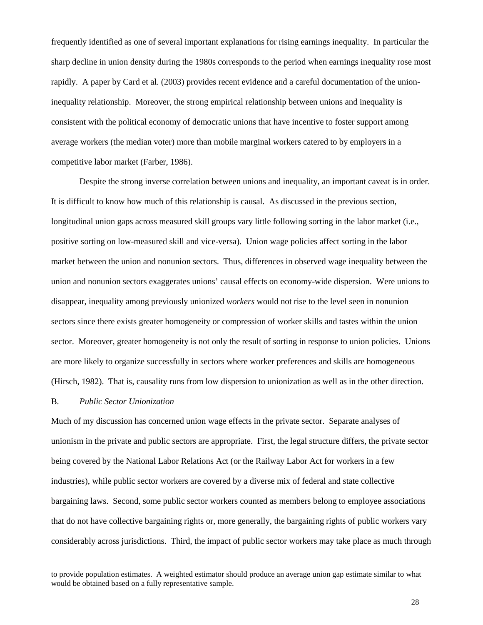frequently identified as one of several important explanations for rising earnings inequality. In particular the sharp decline in union density during the 1980s corresponds to the period when earnings inequality rose most rapidly. A paper by Card et al. (2003) provides recent evidence and a careful documentation of the unioninequality relationship. Moreover, the strong empirical relationship between unions and inequality is consistent with the political economy of democratic unions that have incentive to foster support among average workers (the median voter) more than mobile marginal workers catered to by employers in a competitive labor market (Farber, 1986).

Despite the strong inverse correlation between unions and inequality, an important caveat is in order. It is difficult to know how much of this relationship is causal. As discussed in the previous section, longitudinal union gaps across measured skill groups vary little following sorting in the labor market (i.e., positive sorting on low-measured skill and vice-versa). Union wage policies affect sorting in the labor market between the union and nonunion sectors. Thus, differences in observed wage inequality between the union and nonunion sectors exaggerates unions' causal effects on economy-wide dispersion. Were unions to disappear, inequality among previously unionized *workers* would not rise to the level seen in nonunion sectors since there exists greater homogeneity or compression of worker skills and tastes within the union sector. Moreover, greater homogeneity is not only the result of sorting in response to union policies. Unions are more likely to organize successfully in sectors where worker preferences and skills are homogeneous (Hirsch, 1982). That is, causality runs from low dispersion to unionization as well as in the other direction.

#### B. *Public Sector Unionization*

-

Much of my discussion has concerned union wage effects in the private sector. Separate analyses of unionism in the private and public sectors are appropriate. First, the legal structure differs, the private sector being covered by the National Labor Relations Act (or the Railway Labor Act for workers in a few industries), while public sector workers are covered by a diverse mix of federal and state collective bargaining laws. Second, some public sector workers counted as members belong to employee associations that do not have collective bargaining rights or, more generally, the bargaining rights of public workers vary considerably across jurisdictions. Third, the impact of public sector workers may take place as much through

to provide population estimates. A weighted estimator should produce an average union gap estimate similar to what would be obtained based on a fully representative sample.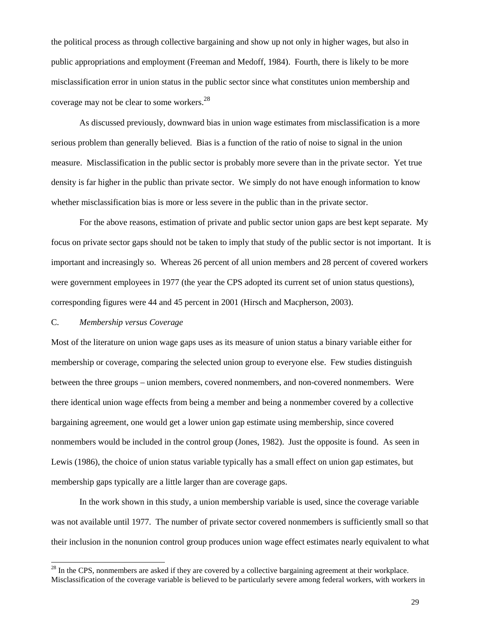the political process as through collective bargaining and show up not only in higher wages, but also in public appropriations and employment (Freeman and Medoff, 1984). Fourth, there is likely to be more misclassification error in union status in the public sector since what constitutes union membership and coverage may not be clear to some workers.28

As discussed previously, downward bias in union wage estimates from misclassification is a more serious problem than generally believed. Bias is a function of the ratio of noise to signal in the union measure. Misclassification in the public sector is probably more severe than in the private sector. Yet true density is far higher in the public than private sector. We simply do not have enough information to know whether misclassification bias is more or less severe in the public than in the private sector.

For the above reasons, estimation of private and public sector union gaps are best kept separate. My focus on private sector gaps should not be taken to imply that study of the public sector is not important. It is important and increasingly so. Whereas 26 percent of all union members and 28 percent of covered workers were government employees in 1977 (the year the CPS adopted its current set of union status questions), corresponding figures were 44 and 45 percent in 2001 (Hirsch and Macpherson, 2003).

#### C. *Membership versus Coverage*

1

Most of the literature on union wage gaps uses as its measure of union status a binary variable either for membership or coverage, comparing the selected union group to everyone else. Few studies distinguish between the three groups – union members, covered nonmembers, and non-covered nonmembers. Were there identical union wage effects from being a member and being a nonmember covered by a collective bargaining agreement, one would get a lower union gap estimate using membership, since covered nonmembers would be included in the control group (Jones, 1982). Just the opposite is found. As seen in Lewis (1986), the choice of union status variable typically has a small effect on union gap estimates, but membership gaps typically are a little larger than are coverage gaps.

In the work shown in this study, a union membership variable is used, since the coverage variable was not available until 1977. The number of private sector covered nonmembers is sufficiently small so that their inclusion in the nonunion control group produces union wage effect estimates nearly equivalent to what

 $^{28}$  In the CPS, nonmembers are asked if they are covered by a collective bargaining agreement at their workplace. Misclassification of the coverage variable is believed to be particularly severe among federal workers, with workers in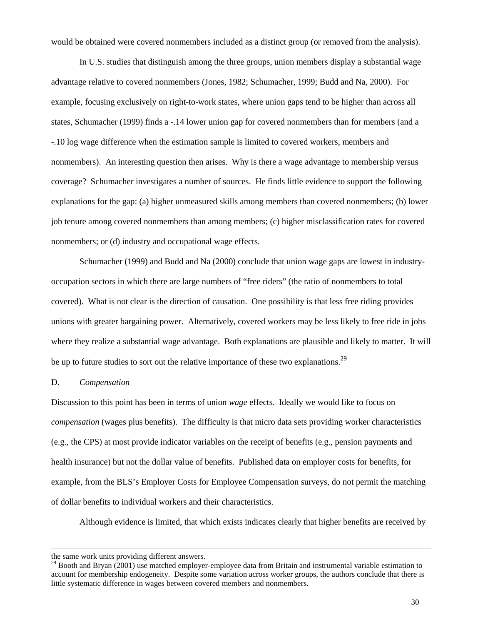would be obtained were covered nonmembers included as a distinct group (or removed from the analysis).

In U.S. studies that distinguish among the three groups, union members display a substantial wage advantage relative to covered nonmembers (Jones, 1982; Schumacher, 1999; Budd and Na, 2000). For example, focusing exclusively on right-to-work states, where union gaps tend to be higher than across all states, Schumacher (1999) finds a -.14 lower union gap for covered nonmembers than for members (and a -.10 log wage difference when the estimation sample is limited to covered workers, members and nonmembers). An interesting question then arises. Why is there a wage advantage to membership versus coverage? Schumacher investigates a number of sources. He finds little evidence to support the following explanations for the gap: (a) higher unmeasured skills among members than covered nonmembers; (b) lower job tenure among covered nonmembers than among members; (c) higher misclassification rates for covered nonmembers; or (d) industry and occupational wage effects.

Schumacher (1999) and Budd and Na (2000) conclude that union wage gaps are lowest in industryoccupation sectors in which there are large numbers of "free riders" (the ratio of nonmembers to total covered). What is not clear is the direction of causation. One possibility is that less free riding provides unions with greater bargaining power. Alternatively, covered workers may be less likely to free ride in jobs where they realize a substantial wage advantage. Both explanations are plausible and likely to matter. It will be up to future studies to sort out the relative importance of these two explanations.<sup>29</sup>

#### D. *Compensation*

1

Discussion to this point has been in terms of union *wage* effects. Ideally we would like to focus on *compensation* (wages plus benefits). The difficulty is that micro data sets providing worker characteristics (e.g., the CPS) at most provide indicator variables on the receipt of benefits (e.g., pension payments and health insurance) but not the dollar value of benefits. Published data on employer costs for benefits, for example, from the BLS's Employer Costs for Employee Compensation surveys, do not permit the matching of dollar benefits to individual workers and their characteristics.

Although evidence is limited, that which exists indicates clearly that higher benefits are received by

the same work units providing different answers.

 $29$  Booth and Bryan (2001) use matched employer-employee data from Britain and instrumental variable estimation to account for membership endogeneity. Despite some variation across worker groups, the authors conclude that there is little systematic difference in wages between covered members and nonmembers.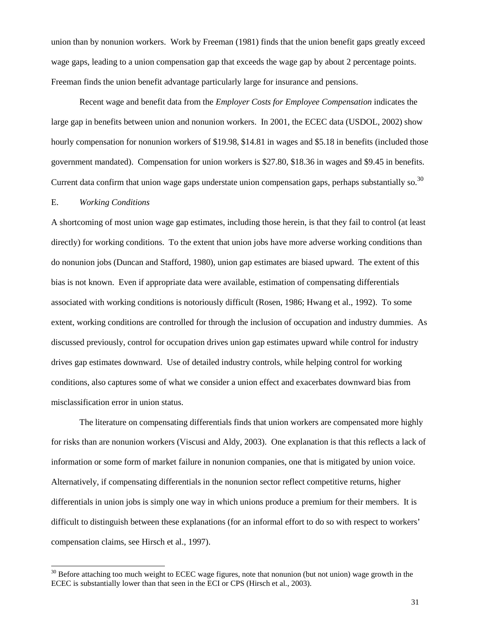union than by nonunion workers. Work by Freeman (1981) finds that the union benefit gaps greatly exceed wage gaps, leading to a union compensation gap that exceeds the wage gap by about 2 percentage points. Freeman finds the union benefit advantage particularly large for insurance and pensions.

Recent wage and benefit data from the *Employer Costs for Employee Compensation* indicates the large gap in benefits between union and nonunion workers. In 2001, the ECEC data (USDOL, 2002) show hourly compensation for nonunion workers of \$19.98, \$14.81 in wages and \$5.18 in benefits (included those government mandated). Compensation for union workers is \$27.80, \$18.36 in wages and \$9.45 in benefits. Current data confirm that union wage gaps understate union compensation gaps, perhaps substantially so.  $30$ 

#### E. *Working Conditions*

-

A shortcoming of most union wage gap estimates, including those herein, is that they fail to control (at least directly) for working conditions. To the extent that union jobs have more adverse working conditions than do nonunion jobs (Duncan and Stafford, 1980), union gap estimates are biased upward. The extent of this bias is not known. Even if appropriate data were available, estimation of compensating differentials associated with working conditions is notoriously difficult (Rosen, 1986; Hwang et al., 1992). To some extent, working conditions are controlled for through the inclusion of occupation and industry dummies. As discussed previously, control for occupation drives union gap estimates upward while control for industry drives gap estimates downward. Use of detailed industry controls, while helping control for working conditions, also captures some of what we consider a union effect and exacerbates downward bias from misclassification error in union status.

The literature on compensating differentials finds that union workers are compensated more highly for risks than are nonunion workers (Viscusi and Aldy, 2003). One explanation is that this reflects a lack of information or some form of market failure in nonunion companies, one that is mitigated by union voice. Alternatively, if compensating differentials in the nonunion sector reflect competitive returns, higher differentials in union jobs is simply one way in which unions produce a premium for their members. It is difficult to distinguish between these explanations (for an informal effort to do so with respect to workers' compensation claims, see Hirsch et al., 1997).

 $30$  Before attaching too much weight to ECEC wage figures, note that nonunion (but not union) wage growth in the ECEC is substantially lower than that seen in the ECI or CPS (Hirsch et al., 2003).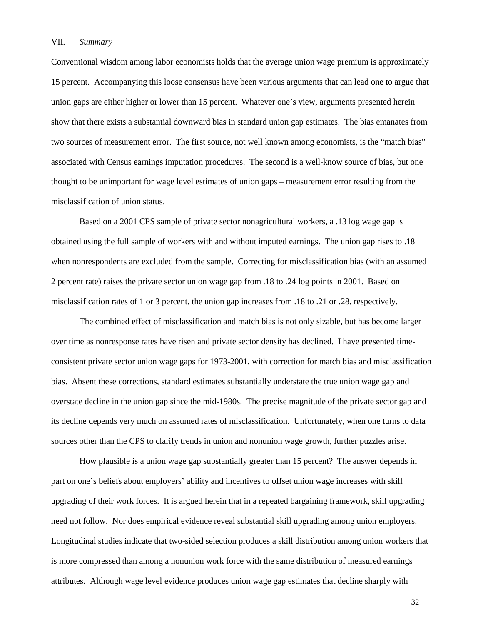#### VII. *Summary*

Conventional wisdom among labor economists holds that the average union wage premium is approximately 15 percent. Accompanying this loose consensus have been various arguments that can lead one to argue that union gaps are either higher or lower than 15 percent. Whatever one's view, arguments presented herein show that there exists a substantial downward bias in standard union gap estimates. The bias emanates from two sources of measurement error. The first source, not well known among economists, is the "match bias" associated with Census earnings imputation procedures. The second is a well-know source of bias, but one thought to be unimportant for wage level estimates of union gaps – measurement error resulting from the misclassification of union status.

Based on a 2001 CPS sample of private sector nonagricultural workers, a .13 log wage gap is obtained using the full sample of workers with and without imputed earnings. The union gap rises to .18 when nonrespondents are excluded from the sample. Correcting for misclassification bias (with an assumed 2 percent rate) raises the private sector union wage gap from .18 to .24 log points in 2001. Based on misclassification rates of 1 or 3 percent, the union gap increases from .18 to .21 or .28, respectively.

The combined effect of misclassification and match bias is not only sizable, but has become larger over time as nonresponse rates have risen and private sector density has declined. I have presented timeconsistent private sector union wage gaps for 1973-2001, with correction for match bias and misclassification bias. Absent these corrections, standard estimates substantially understate the true union wage gap and overstate decline in the union gap since the mid-1980s. The precise magnitude of the private sector gap and its decline depends very much on assumed rates of misclassification. Unfortunately, when one turns to data sources other than the CPS to clarify trends in union and nonunion wage growth, further puzzles arise.

How plausible is a union wage gap substantially greater than 15 percent? The answer depends in part on one's beliefs about employers' ability and incentives to offset union wage increases with skill upgrading of their work forces. It is argued herein that in a repeated bargaining framework, skill upgrading need not follow. Nor does empirical evidence reveal substantial skill upgrading among union employers. Longitudinal studies indicate that two-sided selection produces a skill distribution among union workers that is more compressed than among a nonunion work force with the same distribution of measured earnings attributes. Although wage level evidence produces union wage gap estimates that decline sharply with

32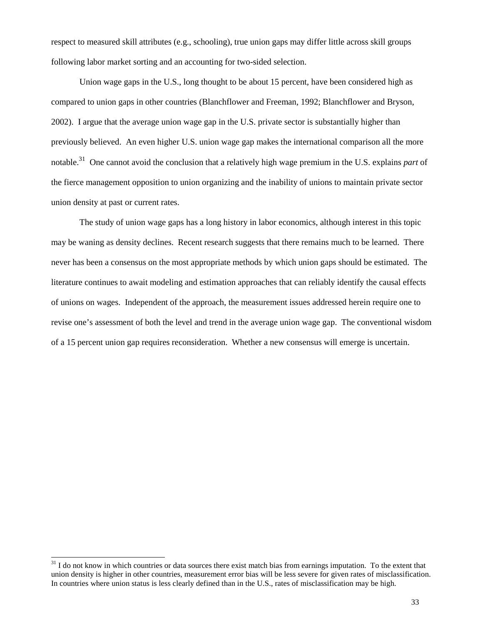respect to measured skill attributes (e.g., schooling), true union gaps may differ little across skill groups following labor market sorting and an accounting for two-sided selection.

Union wage gaps in the U.S., long thought to be about 15 percent, have been considered high as compared to union gaps in other countries (Blanchflower and Freeman, 1992; Blanchflower and Bryson, 2002). I argue that the average union wage gap in the U.S. private sector is substantially higher than previously believed. An even higher U.S. union wage gap makes the international comparison all the more notable.31 One cannot avoid the conclusion that a relatively high wage premium in the U.S. explains *part* of the fierce management opposition to union organizing and the inability of unions to maintain private sector union density at past or current rates.

The study of union wage gaps has a long history in labor economics, although interest in this topic may be waning as density declines. Recent research suggests that there remains much to be learned. There never has been a consensus on the most appropriate methods by which union gaps should be estimated. The literature continues to await modeling and estimation approaches that can reliably identify the causal effects of unions on wages. Independent of the approach, the measurement issues addressed herein require one to revise one's assessment of both the level and trend in the average union wage gap. The conventional wisdom of a 15 percent union gap requires reconsideration. Whether a new consensus will emerge is uncertain.

-

 $31$  I do not know in which countries or data sources there exist match bias from earnings imputation. To the extent that union density is higher in other countries, measurement error bias will be less severe for given rates of misclassification. In countries where union status is less clearly defined than in the U.S., rates of misclassification may be high.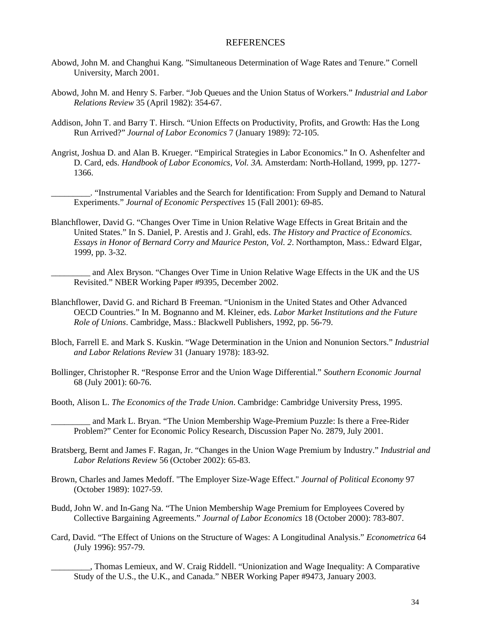#### REFERENCES

- Abowd, John M. and Changhui Kang. "Simultaneous Determination of Wage Rates and Tenure." Cornell University, March 2001.
- Abowd, John M. and Henry S. Farber. "Job Queues and the Union Status of Workers." *Industrial and Labor Relations Review* 35 (April 1982): 354-67.
- Addison, John T. and Barry T. Hirsch. "Union Effects on Productivity, Profits, and Growth: Has the Long Run Arrived?" *Journal of Labor Economics* 7 (January 1989): 72-105.
- Angrist, Joshua D. and Alan B. Krueger. "Empirical Strategies in Labor Economics." In O. Ashenfelter and D. Card, eds. *Handbook of Labor Economics, Vol. 3A*. Amsterdam: North-Holland, 1999, pp. 1277- 1366.

\_\_\_\_\_\_\_\_\_. "Instrumental Variables and the Search for Identification: From Supply and Demand to Natural Experiments." *Journal of Economic Perspectives* 15 (Fall 2001): 69-85.

Blanchflower, David G. "Changes Over Time in Union Relative Wage Effects in Great Britain and the United States." In S. Daniel, P. Arestis and J. Grahl, eds. *The History and Practice of Economics. Essays in Honor of Bernard Corry and Maurice Peston, Vol. 2*. Northampton, Mass.: Edward Elgar, 1999, pp. 3-32.

and Alex Bryson. "Changes Over Time in Union Relative Wage Effects in the UK and the US Revisited." NBER Working Paper #9395, December 2002.

- Blanchflower, David G. and Richard B. Freeman. "Unionism in the United States and Other Advanced OECD Countries." In M. Bognanno and M. Kleiner, eds. *Labor Market Institutions and the Future Role of Unions*. Cambridge, Mass.: Blackwell Publishers, 1992, pp. 56-79.
- Bloch, Farrell E. and Mark S. Kuskin. "Wage Determination in the Union and Nonunion Sectors." *Industrial and Labor Relations Review* 31 (January 1978): 183-92.
- Bollinger, Christopher R. "Response Error and the Union Wage Differential." *Southern Economic Journal* 68 (July 2001): 60-76.
- Booth, Alison L. *The Economics of the Trade Union*. Cambridge: Cambridge University Press, 1995.

- Bratsberg, Bernt and James F. Ragan, Jr. "Changes in the Union Wage Premium by Industry." *Industrial and Labor Relations Review* 56 (October 2002): 65-83.
- Brown, Charles and James Medoff. "The Employer Size-Wage Effect." *Journal of Political Economy* 97 (October 1989): 1027-59.
- Budd, John W. and In-Gang Na. "The Union Membership Wage Premium for Employees Covered by Collective Bargaining Agreements." *Journal of Labor Economics* 18 (October 2000): 783-807.
- Card, David. "The Effect of Unions on the Structure of Wages: A Longitudinal Analysis." *Econometrica* 64 (July 1996): 957-79.

\_\_\_\_\_\_\_\_\_, Thomas Lemieux, and W. Craig Riddell. "Unionization and Wage Inequality: A Comparative Study of the U.S., the U.K., and Canada." NBER Working Paper #9473, January 2003.

and Mark L. Bryan. "The Union Membership Wage-Premium Puzzle: Is there a Free-Rider Problem?" Center for Economic Policy Research, Discussion Paper No. 2879, July 2001.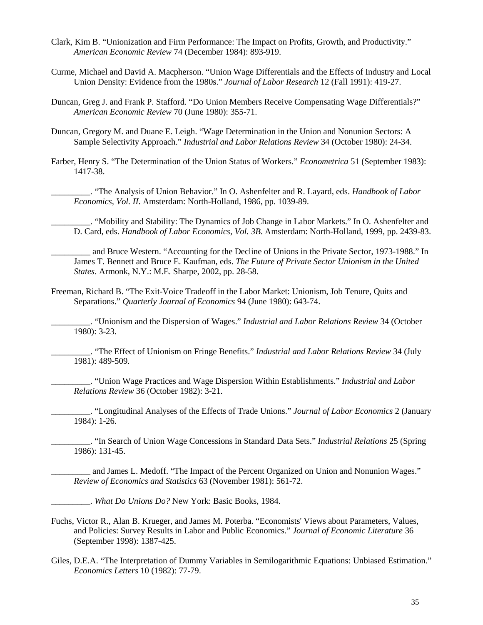- Clark, Kim B. "Unionization and Firm Performance: The Impact on Profits, Growth, and Productivity." *American Economic Review* 74 (December 1984): 893-919.
- Curme, Michael and David A. Macpherson. "Union Wage Differentials and the Effects of Industry and Local Union Density: Evidence from the 1980s." *Journal of Labor Research* 12 (Fall 1991): 419-27.
- Duncan, Greg J. and Frank P. Stafford. "Do Union Members Receive Compensating Wage Differentials?" *American Economic Review* 70 (June 1980): 355-71.
- Duncan, Gregory M. and Duane E. Leigh. "Wage Determination in the Union and Nonunion Sectors: A Sample Selectivity Approach." *Industrial and Labor Relations Review* 34 (October 1980): 24-34.
- Farber, Henry S. "The Determination of the Union Status of Workers." *Econometrica* 51 (September 1983): 1417-38.

\_\_\_\_\_\_\_\_\_. "The Analysis of Union Behavior." In O. Ashenfelter and R. Layard, eds. *Handbook of Labor Economics, Vol. II*. Amsterdam: North-Holland, 1986, pp. 1039-89.

\_\_\_\_\_\_\_\_\_. "Mobility and Stability: The Dynamics of Job Change in Labor Markets." In O. Ashenfelter and D. Card, eds. *Handbook of Labor Economics, Vol. 3B*. Amsterdam: North-Holland, 1999, pp. 2439-83.

\_\_\_\_\_\_\_\_\_ and Bruce Western. "Accounting for the Decline of Unions in the Private Sector, 1973-1988." In James T. Bennett and Bruce E. Kaufman, eds. *The Future of Private Sector Unionism in the United States*. Armonk, N.Y.: M.E. Sharpe, 2002, pp. 28-58.

Freeman, Richard B. "The Exit-Voice Tradeoff in the Labor Market: Unionism, Job Tenure, Quits and Separations." *Quarterly Journal of Economics* 94 (June 1980): 643-74.

\_\_\_\_\_\_\_\_\_. "Unionism and the Dispersion of Wages." *Industrial and Labor Relations Review* 34 (October 1980): 3-23.

\_\_\_\_\_\_\_\_\_. "The Effect of Unionism on Fringe Benefits." *Industrial and Labor Relations Review* 34 (July 1981): 489-509.

\_\_\_\_\_\_\_\_\_. "Union Wage Practices and Wage Dispersion Within Establishments." *Industrial and Labor Relations Review* 36 (October 1982): 3-21.

\_\_\_\_\_\_\_\_\_. "Longitudinal Analyses of the Effects of Trade Unions." *Journal of Labor Economics* 2 (January 1984): 1-26.

\_\_\_\_\_\_\_\_\_. "In Search of Union Wage Concessions in Standard Data Sets." *Industrial Relations* 25 (Spring 1986): 131-45.

and James L. Medoff. "The Impact of the Percent Organized on Union and Nonunion Wages." *Review of Economics and Statistics* 63 (November 1981): 561-72.

\_\_\_\_\_\_\_\_\_. *What Do Unions Do?* New York: Basic Books, 1984.

- Fuchs, Victor R., Alan B. Krueger, and James M. Poterba. "Economists' Views about Parameters, Values, and Policies: Survey Results in Labor and Public Economics." *Journal of Economic Literature* 36 (September 1998): 1387-425.
- Giles, D.E.A. "The Interpretation of Dummy Variables in Semilogarithmic Equations: Unbiased Estimation." *Economics Letters* 10 (1982): 77-79.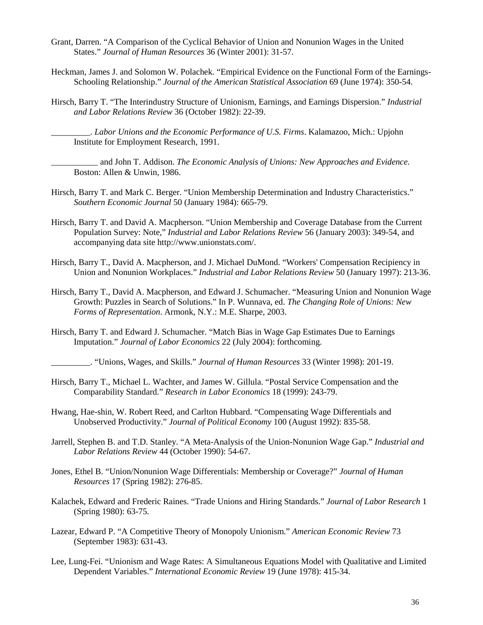- Grant, Darren. "A Comparison of the Cyclical Behavior of Union and Nonunion Wages in the United States." *Journal of Human Resources* 36 (Winter 2001): 31-57.
- Heckman, James J. and Solomon W. Polachek. "Empirical Evidence on the Functional Form of the Earnings-Schooling Relationship." *Journal of the American Statistical Association* 69 (June 1974): 350-54.
- Hirsch, Barry T. "The Interindustry Structure of Unionism, Earnings, and Earnings Dispersion." *Industrial and Labor Relations Review* 36 (October 1982): 22-39.

\_\_\_\_\_\_\_\_\_. *Labor Unions and the Economic Performance of U.S. Firms*. Kalamazoo, Mich.: Upjohn Institute for Employment Research, 1991.

\_\_\_\_\_\_\_\_\_ and John T. Addison. *The Economic Analysis of Unions: New Approaches and Evidence.* Boston: Allen & Unwin, 1986.

- Hirsch, Barry T. and Mark C. Berger. "Union Membership Determination and Industry Characteristics." *Southern Economic Journal* 50 (January 1984): 665-79.
- Hirsch, Barry T. and David A. Macpherson. "Union Membership and Coverage Database from the Current Population Survey: Note," *Industrial and Labor Relations Review* 56 (January 2003): 349-54, and accompanying data site http://www.unionstats.com/.
- Hirsch, Barry T., David A. Macpherson, and J. Michael DuMond. "Workers' Compensation Recipiency in Union and Nonunion Workplaces." *Industrial and Labor Relations Review* 50 (January 1997): 213-36.
- Hirsch, Barry T., David A. Macpherson, and Edward J. Schumacher. "Measuring Union and Nonunion Wage Growth: Puzzles in Search of Solutions." In P. Wunnava, ed. *The Changing Role of Unions: New Forms of Representation*. Armonk, N.Y.: M.E. Sharpe, 2003.
- Hirsch, Barry T. and Edward J. Schumacher. "Match Bias in Wage Gap Estimates Due to Earnings Imputation." *Journal of Labor Economics* 22 (July 2004): forthcoming.

\_\_\_\_\_\_\_\_\_. "Unions, Wages, and Skills." *Journal of Human Resources* 33 (Winter 1998): 201-19.

- Hirsch, Barry T., Michael L. Wachter, and James W. Gillula. "Postal Service Compensation and the Comparability Standard." *Research in Labor Economics* 18 (1999): 243-79.
- Hwang, Hae-shin, W. Robert Reed, and Carlton Hubbard. "Compensating Wage Differentials and Unobserved Productivity." *Journal of Political Economy* 100 (August 1992): 835-58.
- Jarrell, Stephen B. and T.D. Stanley. "A Meta-Analysis of the Union-Nonunion Wage Gap." *Industrial and Labor Relations Review* 44 (October 1990): 54-67.
- Jones, Ethel B. "Union/Nonunion Wage Differentials: Membership or Coverage?" *Journal of Human Resources* 17 (Spring 1982): 276-85.
- Kalachek, Edward and Frederic Raines. "Trade Unions and Hiring Standards." *Journal of Labor Research* 1 (Spring 1980): 63-75.
- Lazear, Edward P. "A Competitive Theory of Monopoly Unionism." *American Economic Review* 73 (September 1983): 631-43.
- Lee, Lung-Fei. "Unionism and Wage Rates: A Simultaneous Equations Model with Qualitative and Limited Dependent Variables." *International Economic Review* 19 (June 1978): 415-34.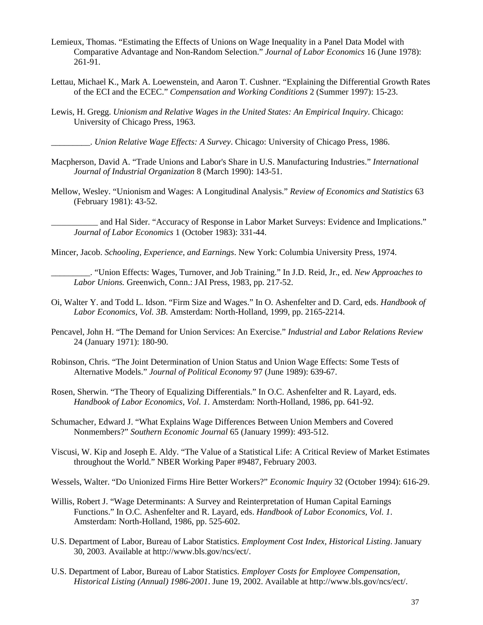- Lemieux, Thomas. "Estimating the Effects of Unions on Wage Inequality in a Panel Data Model with Comparative Advantage and Non-Random Selection." *Journal of Labor Economics* 16 (June 1978): 261-91.
- Lettau, Michael K., Mark A. Loewenstein, and Aaron T. Cushner. "Explaining the Differential Growth Rates of the ECI and the ECEC." *Compensation and Working Conditions* 2 (Summer 1997): 15-23.
- Lewis, H. Gregg. *Unionism and Relative Wages in the United States: An Empirical Inquiry*. Chicago: University of Chicago Press, 1963.

\_\_\_\_\_\_\_\_\_. *Union Relative Wage Effects: A Survey*. Chicago: University of Chicago Press, 1986.

- Macpherson, David A. "Trade Unions and Labor's Share in U.S. Manufacturing Industries." *International Journal of Industrial Organization* 8 (March 1990): 143-51.
- Mellow, Wesley. "Unionism and Wages: A Longitudinal Analysis." *Review of Economics and Statistics* 63 (February 1981): 43-52.

\_\_\_\_\_\_\_\_\_ and Hal Sider. "Accuracy of Response in Labor Market Surveys: Evidence and Implications." *Journal of Labor Economics* 1 (October 1983): 331-44.

Mincer, Jacob. *Schooling, Experience, and Earnings*. New York: Columbia University Press, 1974.

\_\_\_\_\_\_\_\_\_. "Union Effects: Wages, Turnover, and Job Training." In J.D. Reid, Jr., ed. *New Approaches to Labor Unions.* Greenwich, Conn.: JAI Press, 1983, pp. 217-52.

- Oi, Walter Y. and Todd L. Idson. "Firm Size and Wages." In O. Ashenfelter and D. Card, eds. *Handbook of Labor Economics, Vol. 3B*. Amsterdam: North-Holland, 1999, pp. 2165-2214.
- Pencavel, John H. "The Demand for Union Services: An Exercise." *Industrial and Labor Relations Review* 24 (January 1971): 180-90.
- Robinson, Chris. "The Joint Determination of Union Status and Union Wage Effects: Some Tests of Alternative Models." *Journal of Political Economy* 97 (June 1989): 639-67.
- Rosen, Sherwin. "The Theory of Equalizing Differentials." In O.C. Ashenfelter and R. Layard, eds. *Handbook of Labor Economics, Vol. 1*. Amsterdam: North-Holland, 1986, pp. 641-92.
- Schumacher, Edward J. "What Explains Wage Differences Between Union Members and Covered Nonmembers?" *Southern Economic Journal* 65 (January 1999): 493-512.
- Viscusi, W. Kip and Joseph E. Aldy. "The Value of a Statistical Life: A Critical Review of Market Estimates throughout the World." NBER Working Paper #9487, February 2003.

Wessels, Walter. "Do Unionized Firms Hire Better Workers?" *Economic Inquiry* 32 (October 1994): 616-29.

- Willis, Robert J. "Wage Determinants: A Survey and Reinterpretation of Human Capital Earnings Functions." In O.C. Ashenfelter and R. Layard, eds. *Handbook of Labor Economics, Vol. 1*. Amsterdam: North-Holland, 1986, pp. 525-602.
- U.S. Department of Labor, Bureau of Labor Statistics. *Employment Cost Index, Historical Listing*. January 30, 2003. Available at http://www.bls.gov/ncs/ect/.
- U.S. Department of Labor, Bureau of Labor Statistics. *Employer Costs for Employee Compensation, Historical Listing (Annual) 1986-2001*. June 19, 2002. Available at http://www.bls.gov/ncs/ect/.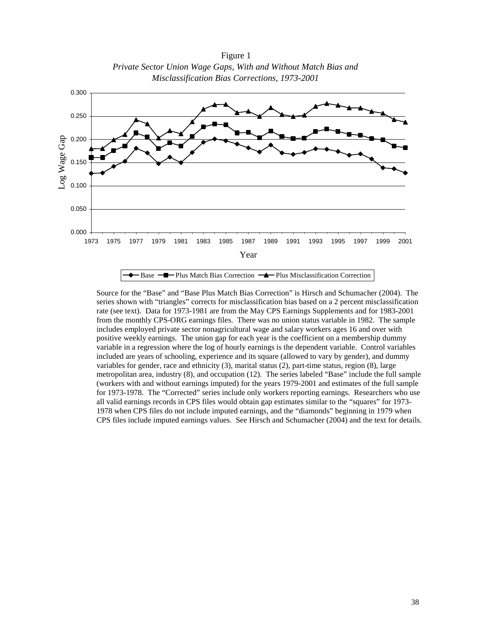Figure 1 *Private Sector Union Wage Gaps, With and Without Match Bias and Misclassification Bias Corrections, 1973-2001*



Source for the "Base" and "Base Plus Match Bias Correction" is Hirsch and Schumacher (2004). The series shown with "triangles" corrects for misclassification bias based on a 2 percent misclassification rate (see text). Data for 1973-1981 are from the May CPS Earnings Supplements and for 1983-2001 from the monthly CPS-ORG earnings files. There was no union status variable in 1982. The sample includes employed private sector nonagricultural wage and salary workers ages 16 and over with positive weekly earnings. The union gap for each year is the coefficient on a membership dummy variable in a regression where the log of hourly earnings is the dependent variable. Control variables included are years of schooling, experience and its square (allowed to vary by gender), and dummy variables for gender, race and ethnicity (3), marital status (2), part-time status, region (8), large metropolitan area, industry (8), and occupation (12). The series labeled "Base" include the full sample (workers with and without earnings imputed) for the years 1979-2001 and estimates of the full sample for 1973-1978. The "Corrected" series include only workers reporting earnings. Researchers who use all valid earnings records in CPS files would obtain gap estimates similar to the "squares" for 1973- 1978 when CPS files do not include imputed earnings, and the "diamonds" beginning in 1979 when CPS files include imputed earnings values. See Hirsch and Schumacher (2004) and the text for details.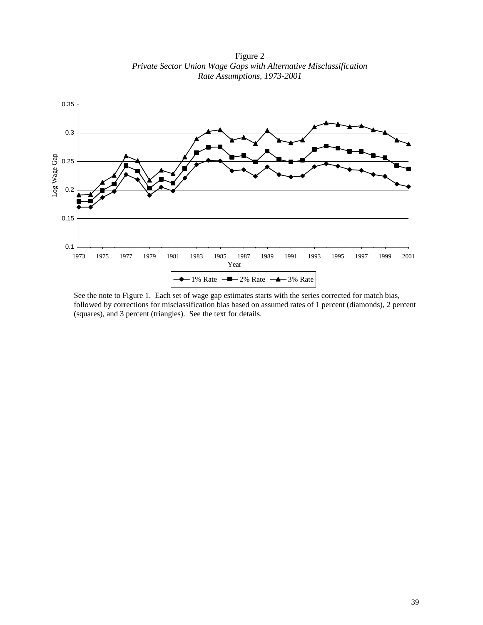Figure 2 *Private Sector Union Wage Gaps with Alternative Misclassification Rate Assumptions, 1973-2001* 



See the note to Figure 1. Each set of wage gap estimates starts with the series corrected for match bias, followed by corrections for misclassification bias based on assumed rates of 1 percent (diamonds), 2 percent (squares), and 3 percent (triangles). See the text for details.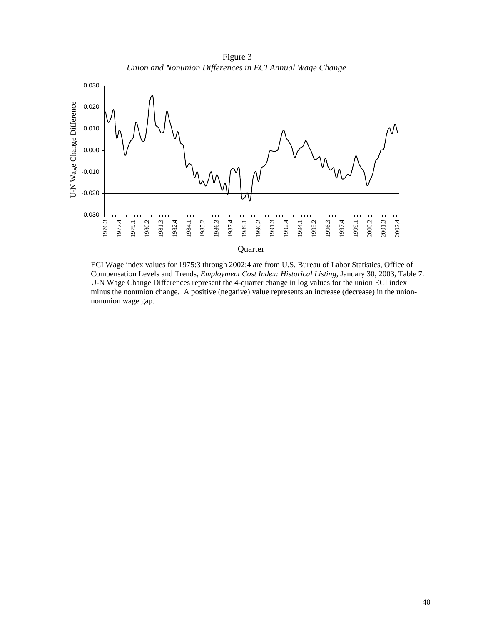Figure 3 *Union and Nonunion Differences in ECI Annual Wage Change*



ECI Wage index values for 1975:3 through 2002:4 are from U.S. Bureau of Labor Statistics, Office of Compensation Levels and Trends, *Employment Cost Index: Historical Listing*, January 30, 2003, Table 7. U-N Wage Change Differences represent the 4-quarter change in log values for the union ECI index minus the nonunion change. A positive (negative) value represents an increase (decrease) in the unionnonunion wage gap.